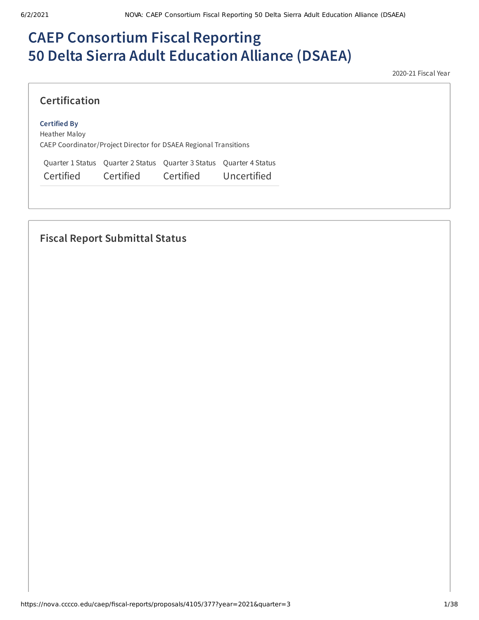# **CAEP Consortium Fiscal Reporting 50 Delta Sierra Adult Education Alliance (DSAEA)**

2020-21 Fiscal Year

## **Certification**

#### **Certified By**

Heather Maloy CAEP Coordinator/Project Director for DSAEA Regional Transitions

Quarter 1 Status Quarter 2 Status Quarter 3 Status Quarter 4 Status Certified Certified Certified Uncertified

## **Fiscal Report Submittal Status**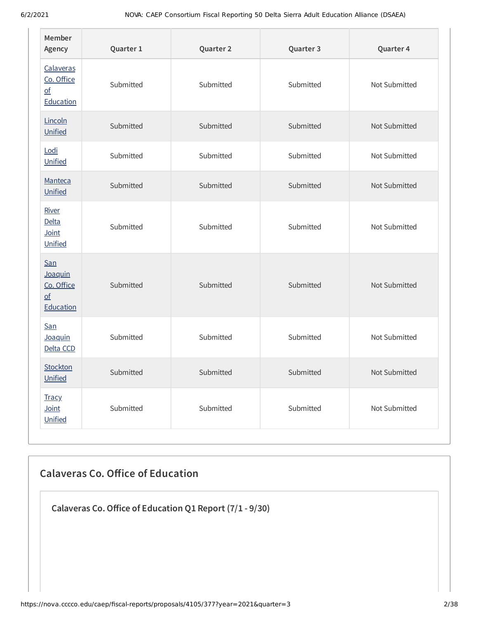| Member<br>Agency                                                       | Quarter 1 | Quarter 2 | Quarter 3 | Quarter 4     |
|------------------------------------------------------------------------|-----------|-----------|-----------|---------------|
| Calaveras<br>Co. Office<br>$\underline{\mathsf{of}}$<br>Education      | Submitted | Submitted | Submitted | Not Submitted |
| Lincoln<br>Unified                                                     | Submitted | Submitted | Submitted | Not Submitted |
| Lodi<br>Unified                                                        | Submitted | Submitted | Submitted | Not Submitted |
| Manteca<br>Unified                                                     | Submitted | Submitted | Submitted | Not Submitted |
| River<br>Delta<br>Joint<br>Unified                                     | Submitted | Submitted | Submitted | Not Submitted |
| San<br>Joaquin<br>Co. Office<br>$\underline{\mathsf{of}}$<br>Education | Submitted | Submitted | Submitted | Not Submitted |
| San<br>Joaquin<br>Delta CCD                                            | Submitted | Submitted | Submitted | Not Submitted |
| Stockton<br>Unified                                                    | Submitted | Submitted | Submitted | Not Submitted |
| <b>Tracy</b><br>Joint<br>Unified                                       | Submitted | Submitted | Submitted | Not Submitted |

# **Calaveras Co. Oice of Education**

**Calaveras Co.Oice of Education Q1 Report (7/1 - 9/30)**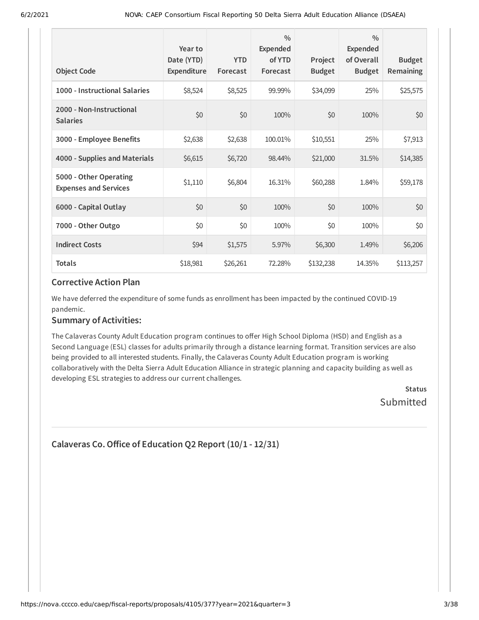| <b>Object Code</b>                                     | Year to<br>Date (YTD)<br>Expenditure | <b>YTD</b><br>Forecast | $\frac{0}{0}$<br>Expended<br>of YTD<br>Forecast | Project<br><b>Budget</b> | $\frac{0}{0}$<br>Expended<br>of Overall<br><b>Budget</b> | <b>Budget</b><br><b>Remaining</b> |
|--------------------------------------------------------|--------------------------------------|------------------------|-------------------------------------------------|--------------------------|----------------------------------------------------------|-----------------------------------|
| 1000 - Instructional Salaries                          | \$8,524                              | \$8,525                | 99.99%                                          | \$34,099                 | 25%                                                      | \$25,575                          |
| 2000 - Non-Instructional<br><b>Salaries</b>            | \$0                                  | \$0                    | 100%                                            | \$0                      | 100%                                                     | \$0                               |
| 3000 - Employee Benefits                               | \$2,638                              | \$2,638                | 100.01%                                         | \$10,551                 | 25%                                                      | \$7,913                           |
| 4000 - Supplies and Materials                          | \$6,615                              | \$6,720                | 98.44%                                          | \$21,000                 | 31.5%                                                    | \$14,385                          |
| 5000 - Other Operating<br><b>Expenses and Services</b> | \$1,110                              | \$6,804                | 16.31%                                          | \$60,288                 | 1.84%                                                    | \$59,178                          |
| 6000 - Capital Outlay                                  | \$0                                  | \$0                    | 100%                                            | \$0                      | 100%                                                     | \$0                               |
| 7000 - Other Outgo                                     | \$0                                  | \$0                    | 100%                                            | \$0                      | 100%                                                     | \$0\$                             |
| <b>Indirect Costs</b>                                  | \$94                                 | \$1,575                | 5.97%                                           | \$6,300                  | 1.49%                                                    | \$6,206                           |
| <b>Totals</b>                                          | \$18,981                             | \$26,261               | 72.28%                                          | \$132,238                | 14.35%                                                   | \$113,257                         |

We have deferred the expenditure of some funds as enrollment has been impacted by the continued COVID-19 pandemic.

#### **Summary of Activities:**

The Calaveras County Adult Education program continues to offer High School Diploma (HSD) and English as a Second Language (ESL) classes for adults primarily through a distance learning format. Transition services are also being provided to all interested students. Finally, the Calaveras County Adult Education program is working collaboratively with the Delta Sierra Adult Education Alliance in strategic planning and capacity building as well as developing ESL strategies to address our current challenges.

**Status** Submitted

```
Calaveras Co.Oice of Education Q2 Report (10/1 - 12/31)
```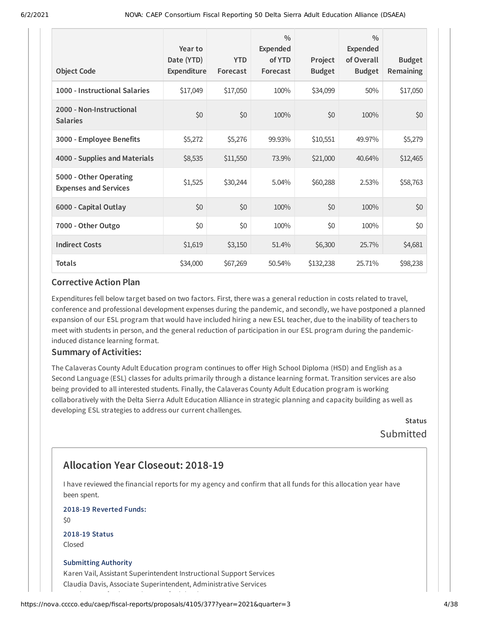| <b>Object Code</b>                                     | Year to<br>Date (YTD)<br>Expenditure | <b>YTD</b><br>Forecast | $\frac{0}{0}$<br>Expended<br>of YTD<br>Forecast | Project<br><b>Budget</b> | $\frac{0}{0}$<br>Expended<br>of Overall<br><b>Budget</b> | <b>Budget</b><br><b>Remaining</b> |
|--------------------------------------------------------|--------------------------------------|------------------------|-------------------------------------------------|--------------------------|----------------------------------------------------------|-----------------------------------|
| 1000 - Instructional Salaries                          | \$17,049                             | \$17,050               | 100%                                            | \$34,099                 | 50%                                                      | \$17,050                          |
| 2000 - Non-Instructional<br><b>Salaries</b>            | \$0                                  | \$0                    | 100%                                            | \$0                      | 100%                                                     | \$0                               |
| 3000 - Employee Benefits                               | \$5,272                              | \$5,276                | 99.93%                                          | \$10,551                 | 49.97%                                                   | \$5,279                           |
| 4000 - Supplies and Materials                          | \$8,535                              | \$11,550               | 73.9%                                           | \$21,000                 | 40.64%                                                   | \$12,465                          |
| 5000 - Other Operating<br><b>Expenses and Services</b> | \$1,525                              | \$30,244               | 5.04%                                           | \$60,288                 | 2.53%                                                    | \$58,763                          |
| 6000 - Capital Outlay                                  | \$0                                  | \$0                    | 100%                                            | \$0                      | 100%                                                     | \$0                               |
| 7000 - Other Outgo                                     | \$0                                  | \$0                    | 100%                                            | \$0                      | 100%                                                     | \$0                               |
| <b>Indirect Costs</b>                                  | \$1,619                              | \$3,150                | 51.4%                                           | \$6,300                  | 25.7%                                                    | \$4,681                           |
| <b>Totals</b>                                          | \$34,000                             | \$67,269               | 50.54%                                          | \$132,238                | 25.71%                                                   | \$98,238                          |

Expenditures fell below target based on two factors. First, there was a general reduction in costs related to travel, conference and professional development expenses during the pandemic, and secondly, we have postponed a planned expansion of our ESL program that would have included hiring a new ESL teacher, due to the inability of teachers to meet with students in person, and the general reduction of participation in our ESL program during the pandemicinduced distance learning format.

#### **Summary of Activities:**

The Calaveras County Adult Education program continues to offer High School Diploma (HSD) and English as a Second Language (ESL) classes for adults primarily through a distance learning format. Transition services are also being provided to all interested students. Finally, the Calaveras County Adult Education program is working collaboratively with the Delta Sierra Adult Education Alliance in strategic planning and capacity building as well as developing ESL strategies to address our current challenges.

> **Status** Submitted

## **Allocation Year Closeout: 2018-19**

I have reviewed the financial reports for my agency and confirm that all funds for this allocation year have been spent.

**2018-19 Reverted Funds:**

 $$0$$ 

**2018-19 Status** Closed

#### **Submitting Authority**

Karen Vail, Assistant Superintendent Instructional Support Services Claudia Davis, Associate Superintendent, Administrative Services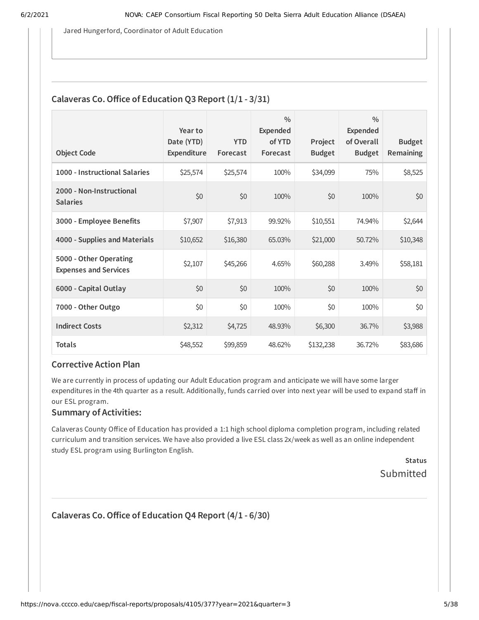Jared Hungerford, Coordinator of Adult Education

#### **Calaveras Co.Oice of Education Q3 Report (1/1 - 3/31)**

| <b>Object Code</b>                                     | Year to<br>Date (YTD)<br>Expenditure | <b>YTD</b><br>Forecast | $\frac{0}{0}$<br>Expended<br>of YTD<br>Forecast | Project<br><b>Budget</b> | $\frac{0}{0}$<br><b>Expended</b><br>of Overall<br><b>Budget</b> | <b>Budget</b><br><b>Remaining</b> |
|--------------------------------------------------------|--------------------------------------|------------------------|-------------------------------------------------|--------------------------|-----------------------------------------------------------------|-----------------------------------|
| 1000 - Instructional Salaries                          | \$25,574                             | \$25,574               | 100%                                            | \$34,099                 | 75%                                                             | \$8,525                           |
| 2000 - Non-Instructional<br><b>Salaries</b>            | \$0                                  | \$0                    | 100%                                            | \$0                      | 100%                                                            | \$0                               |
| 3000 - Employee Benefits                               | \$7,907                              | \$7,913                | 99.92%                                          | \$10,551                 | 74.94%                                                          | \$2,644                           |
| 4000 - Supplies and Materials                          | \$10,652                             | \$16,380               | 65.03%                                          | \$21,000                 | 50.72%                                                          | \$10,348                          |
| 5000 - Other Operating<br><b>Expenses and Services</b> | \$2,107                              | \$45,266               | 4.65%                                           | \$60,288                 | 3.49%                                                           | \$58,181                          |
| 6000 - Capital Outlay                                  | \$0                                  | \$0                    | 100%                                            | \$0                      | 100%                                                            | \$0                               |
| 7000 - Other Outgo                                     | \$0                                  | \$0                    | 100%                                            | \$0                      | 100%                                                            | \$0                               |
| <b>Indirect Costs</b>                                  | \$2,312                              | \$4,725                | 48.93%                                          | \$6,300                  | 36.7%                                                           | \$3,988                           |
| <b>Totals</b>                                          | \$48,552                             | \$99,859               | 48.62%                                          | \$132,238                | 36.72%                                                          | \$83,686                          |

#### **Corrective Action Plan**

We are currently in process of updating our Adult Education program and anticipate we will have some larger expenditures in the 4th quarter as a result. Additionally, funds carried over into next year will be used to expand staff in our ESL program.

#### **Summary of Activities:**

Calaveras County Office of Education has provided a 1:1 high school diploma completion program, including related curriculum and transition services. We have also provided a live ESL class 2x/week as well as an online independent study ESL program using Burlington English.

> **Status** Submitted

## **Calaveras Co.Oice of Education Q4 Report (4/1 - 6/30)**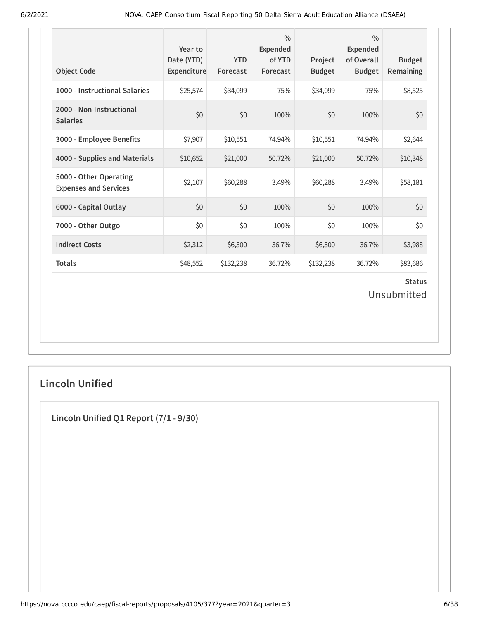| <b>Object Code</b>                                     | Year to<br>Date (YTD)<br>Expenditure | <b>YTD</b><br>Forecast | $\frac{0}{0}$<br><b>Expended</b><br>of YTD<br>Forecast | Project<br><b>Budget</b> | $\frac{0}{0}$<br><b>Expended</b><br>of Overall<br><b>Budget</b> | <b>Budget</b><br>Remaining   |
|--------------------------------------------------------|--------------------------------------|------------------------|--------------------------------------------------------|--------------------------|-----------------------------------------------------------------|------------------------------|
| 1000 - Instructional Salaries                          | \$25,574                             | \$34,099               | 75%                                                    | \$34,099                 | 75%                                                             | \$8,525                      |
| 2000 - Non-Instructional<br><b>Salaries</b>            | \$0                                  | \$0                    | 100%                                                   | \$0                      | 100%                                                            | \$0                          |
| 3000 - Employee Benefits                               | \$7,907                              | \$10,551               | 74.94%                                                 | \$10,551                 | 74.94%                                                          | \$2,644                      |
| 4000 - Supplies and Materials                          | \$10,652                             | \$21,000               | 50.72%                                                 | \$21,000                 | 50.72%                                                          | \$10,348                     |
| 5000 - Other Operating<br><b>Expenses and Services</b> | \$2,107                              | \$60,288               | 3.49%                                                  | \$60,288                 | 3.49%                                                           | \$58,181                     |
| 6000 - Capital Outlay                                  | \$0                                  | \$0                    | 100%                                                   | \$0                      | 100%                                                            | \$0                          |
| 7000 - Other Outgo                                     | \$0                                  | \$0                    | 100%                                                   | \$0                      | 100%                                                            | \$0                          |
| <b>Indirect Costs</b>                                  | \$2,312                              | \$6,300                | 36.7%                                                  | \$6,300                  | 36.7%                                                           | \$3,988                      |
| <b>Totals</b>                                          | \$48,552                             | \$132,238              | 36.72%                                                 | \$132,238                | 36.72%                                                          | \$83,686                     |
|                                                        |                                      |                        |                                                        |                          |                                                                 | <b>Status</b><br>Unsubmitted |

## **Lincoln Unified**

**Lincoln Unified Q1 Report (7/1 - 9/30)**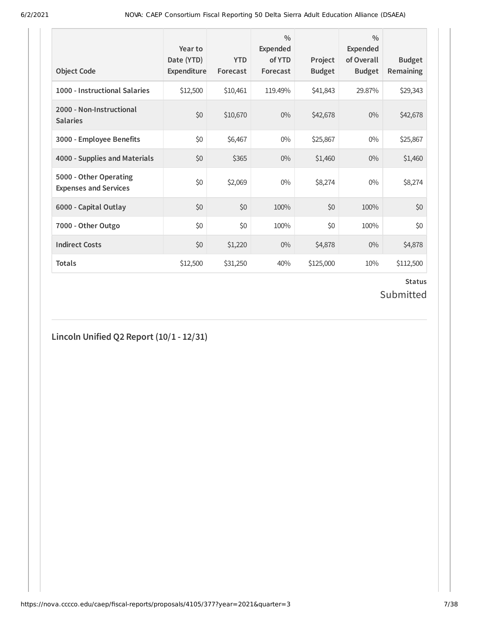| <b>Object Code</b>                                     | Year to<br>Date (YTD)<br>Expenditure | <b>YTD</b><br>Forecast | $\frac{0}{0}$<br>Expended<br>of YTD<br>Forecast | Project<br><b>Budget</b> | $\frac{0}{0}$<br>Expended<br>of Overall<br><b>Budget</b> | <b>Budget</b><br><b>Remaining</b> |
|--------------------------------------------------------|--------------------------------------|------------------------|-------------------------------------------------|--------------------------|----------------------------------------------------------|-----------------------------------|
| 1000 - Instructional Salaries                          | \$12,500                             | \$10,461               | 119.49%                                         | \$41,843                 | 29.87%                                                   | \$29,343                          |
| 2000 - Non-Instructional<br><b>Salaries</b>            | \$0                                  | \$10,670               | $0\%$                                           | \$42,678                 | $0\%$                                                    | \$42,678                          |
| 3000 - Employee Benefits                               | \$0                                  | \$6,467                | $0\%$                                           | \$25,867                 | $0\%$                                                    | \$25,867                          |
| 4000 - Supplies and Materials                          | \$0                                  | \$365                  | $0\%$                                           | \$1,460                  | $0\%$                                                    | \$1,460                           |
| 5000 - Other Operating<br><b>Expenses and Services</b> | \$0                                  | \$2,069                | $0\%$                                           | \$8,274                  | $0\%$                                                    | \$8,274                           |
| 6000 - Capital Outlay                                  | \$0                                  | \$0                    | 100%                                            | \$0                      | 100%                                                     | \$0                               |
| 7000 - Other Outgo                                     | \$0                                  | \$0                    | 100%                                            | \$0                      | 100%                                                     | \$0                               |
| <b>Indirect Costs</b>                                  | \$0                                  | \$1,220                | $0\%$                                           | \$4,878                  | $0\%$                                                    | \$4,878                           |
| <b>Totals</b>                                          | \$12,500                             | \$31,250               | 40%                                             | \$125,000                | 10%                                                      | \$112,500                         |

## **Status** Submitted

## **Lincoln Unified Q2 Report (10/1 - 12/31)**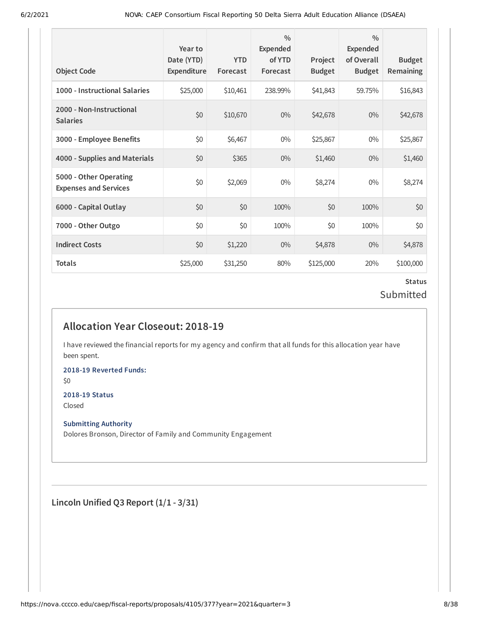| <b>Object Code</b>                                     | Year to<br>Date (YTD)<br>Expenditure | <b>YTD</b><br>Forecast | $\frac{0}{0}$<br>Expended<br>of YTD<br>Forecast | Project<br><b>Budget</b> | $\frac{0}{0}$<br>Expended<br>of Overall<br><b>Budget</b> | <b>Budget</b><br><b>Remaining</b> |
|--------------------------------------------------------|--------------------------------------|------------------------|-------------------------------------------------|--------------------------|----------------------------------------------------------|-----------------------------------|
| 1000 - Instructional Salaries                          | \$25,000                             | \$10,461               | 238.99%                                         | \$41,843                 | 59.75%                                                   | \$16,843                          |
| 2000 - Non-Instructional<br><b>Salaries</b>            | \$0                                  | \$10,670               | $0\%$                                           | \$42,678                 | $0\%$                                                    | \$42,678                          |
| 3000 - Employee Benefits                               | \$0                                  | \$6,467                | $0\%$                                           | \$25,867                 | $0\%$                                                    | \$25,867                          |
| 4000 - Supplies and Materials                          | \$0                                  | \$365                  | $0\%$                                           | \$1,460                  | $0\%$                                                    | \$1,460                           |
| 5000 - Other Operating<br><b>Expenses and Services</b> | \$0                                  | \$2,069                | $0\%$                                           | \$8,274                  | $0\%$                                                    | \$8,274                           |
| 6000 - Capital Outlay                                  | \$0                                  | \$0                    | 100%                                            | \$0                      | 100%                                                     | \$0                               |
| 7000 - Other Outgo                                     | \$0                                  | \$0                    | 100%                                            | \$0                      | 100%                                                     | \$0                               |
| <b>Indirect Costs</b>                                  | \$0                                  | \$1,220                | $0\%$                                           | \$4,878                  | $0\%$                                                    | \$4,878                           |
| <b>Totals</b>                                          | \$25,000                             | \$31,250               | 80%                                             | \$125,000                | 20%                                                      | \$100,000                         |

#### **Status** Submitted

## **Allocation Year Closeout: 2018-19**

I have reviewed the financial reports for my agency and confirm that all funds for this allocation year have been spent.

**2018-19 Reverted Funds:**

\$0

#### **2018-19 Status**

Closed

#### **Submitting Authority**

Dolores Bronson, Director of Family and Community Engagement

**Lincoln Unified Q3 Report (1/1 - 3/31)**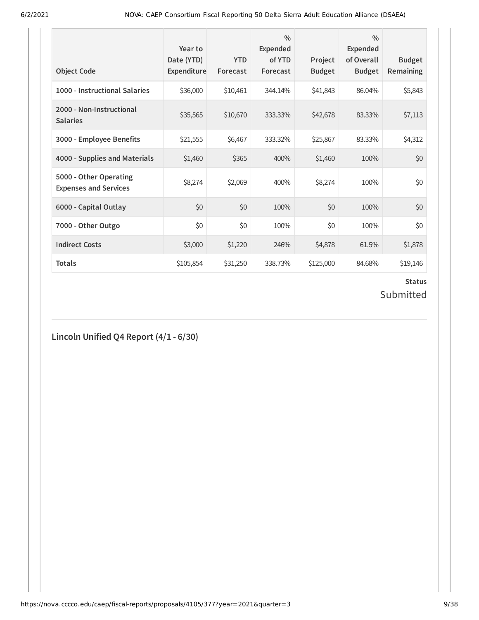| <b>Object Code</b>                                     | Year to<br>Date (YTD)<br>Expenditure | <b>YTD</b><br>Forecast | $\frac{0}{0}$<br>Expended<br>of YTD<br>Forecast | Project<br><b>Budget</b> | $\frac{0}{0}$<br>Expended<br>of Overall<br><b>Budget</b> | <b>Budget</b><br><b>Remaining</b> |
|--------------------------------------------------------|--------------------------------------|------------------------|-------------------------------------------------|--------------------------|----------------------------------------------------------|-----------------------------------|
| 1000 - Instructional Salaries                          | \$36,000                             | \$10,461               | 344.14%                                         | \$41,843                 | 86.04%                                                   | \$5,843                           |
| 2000 - Non-Instructional<br><b>Salaries</b>            | \$35,565                             | \$10,670               | 333.33%                                         | \$42,678                 | 83.33%                                                   | \$7,113                           |
| 3000 - Employee Benefits                               | \$21,555                             | \$6,467                | 333.32%                                         | \$25,867                 | 83.33%                                                   | \$4,312                           |
| 4000 - Supplies and Materials                          | \$1,460                              | \$365                  | 400%                                            | \$1,460                  | 100%                                                     | \$0                               |
| 5000 - Other Operating<br><b>Expenses and Services</b> | \$8,274                              | \$2,069                | 400%                                            | \$8,274                  | 100%                                                     | \$0                               |
| 6000 - Capital Outlay                                  | \$0                                  | \$0                    | 100%                                            | \$0                      | 100%                                                     | \$0                               |
| 7000 - Other Outgo                                     | \$0                                  | \$0                    | 100%                                            | \$0                      | 100%                                                     | \$0                               |
| <b>Indirect Costs</b>                                  | \$3,000                              | \$1,220                | 246%                                            | \$4,878                  | 61.5%                                                    | \$1,878                           |
| <b>Totals</b>                                          | \$105,854                            | \$31,250               | 338.73%                                         | \$125,000                | 84.68%                                                   | \$19,146                          |

# **Status**

# Submitted

## **Lincoln Unified Q4 Report (4/1 - 6/30)**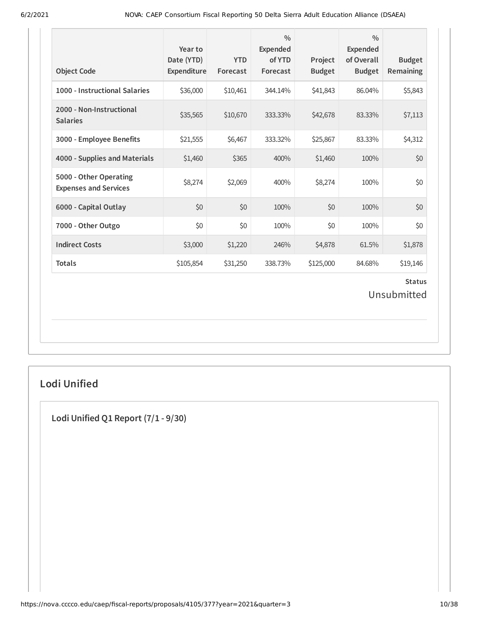| <b>Object Code</b>                                     | Year to<br>Date (YTD)<br>Expenditure | <b>YTD</b><br>Forecast | $\frac{0}{0}$<br>Expended<br>of YTD<br>Forecast | Project<br><b>Budget</b> | $\frac{0}{0}$<br><b>Expended</b><br>of Overall<br><b>Budget</b> | <b>Budget</b><br><b>Remaining</b> |
|--------------------------------------------------------|--------------------------------------|------------------------|-------------------------------------------------|--------------------------|-----------------------------------------------------------------|-----------------------------------|
| 1000 - Instructional Salaries                          | \$36,000                             | \$10,461               | 344.14%                                         | \$41,843                 | 86.04%                                                          | \$5,843                           |
| 2000 - Non-Instructional<br><b>Salaries</b>            | \$35,565                             | \$10,670               | 333.33%                                         | \$42,678                 | 83.33%                                                          | \$7,113                           |
| 3000 - Employee Benefits                               | \$21,555                             | \$6,467                | 333.32%                                         | \$25,867                 | 83.33%                                                          | \$4,312                           |
| 4000 - Supplies and Materials                          | \$1,460                              | \$365                  | 400%                                            | \$1,460                  | 100%                                                            | \$0                               |
| 5000 - Other Operating<br><b>Expenses and Services</b> | \$8,274                              | \$2,069                | 400%                                            | \$8,274                  | 100%                                                            | \$0                               |
| 6000 - Capital Outlay                                  | \$0                                  | \$0                    | 100%                                            | \$0                      | 100%                                                            | \$0                               |
| 7000 - Other Outgo                                     | \$0                                  | \$0                    | 100%                                            | \$0                      | 100%                                                            | \$0                               |
| <b>Indirect Costs</b>                                  | \$3,000                              | \$1,220                | 246%                                            | \$4,878                  | 61.5%                                                           | \$1,878                           |
| <b>Totals</b>                                          | \$105,854                            | \$31,250               | 338.73%                                         | \$125,000                | 84.68%                                                          | \$19,146                          |
|                                                        |                                      |                        |                                                 |                          |                                                                 | <b>Status</b><br>Unsubmitted      |

## **Lodi Unified**

**Lodi Unified Q1 Report (7/1 - 9/30)**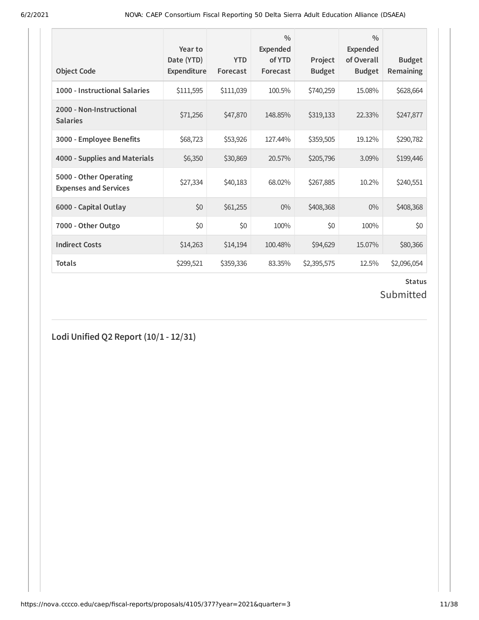| <b>Object Code</b>                                     | Year to<br>Date (YTD)<br><b>Expenditure</b> | <b>YTD</b><br>Forecast | $\frac{0}{0}$<br><b>Expended</b><br>of YTD<br>Forecast | Project<br><b>Budget</b> | $\frac{0}{0}$<br><b>Expended</b><br>of Overall<br><b>Budget</b> | <b>Budget</b><br><b>Remaining</b> |
|--------------------------------------------------------|---------------------------------------------|------------------------|--------------------------------------------------------|--------------------------|-----------------------------------------------------------------|-----------------------------------|
| 1000 - Instructional Salaries                          | \$111,595                                   | \$111,039              | 100.5%                                                 | \$740,259                | 15.08%                                                          | \$628,664                         |
| 2000 - Non-Instructional<br><b>Salaries</b>            | \$71,256                                    | \$47,870               | 148.85%                                                | \$319,133                | 22.33%                                                          | \$247,877                         |
| 3000 - Employee Benefits                               | \$68,723                                    | \$53,926               | 127.44%                                                | \$359,505                | 19.12%                                                          | \$290,782                         |
| 4000 - Supplies and Materials                          | \$6,350                                     | \$30,869               | 20.57%                                                 | \$205,796                | 3.09%                                                           | \$199,446                         |
| 5000 - Other Operating<br><b>Expenses and Services</b> | \$27,334                                    | \$40,183               | 68.02%                                                 | \$267,885                | 10.2%                                                           | \$240,551                         |
| 6000 - Capital Outlay                                  | \$0                                         | \$61,255               | $0\%$                                                  | \$408,368                | $0\%$                                                           | \$408,368                         |
| 7000 - Other Outgo                                     | \$0                                         | \$0                    | 100%                                                   | \$0                      | 100%                                                            | \$0                               |
| <b>Indirect Costs</b>                                  | \$14,263                                    | \$14,194               | 100.48%                                                | \$94,629                 | 15.07%                                                          | \$80,366                          |
| <b>Totals</b>                                          | \$299,521                                   | \$359,336              | 83.35%                                                 | \$2,395,575              | 12.5%                                                           | \$2,096,054                       |

# **Status**

# Submitted

**Lodi Unified Q2 Report (10/1 - 12/31)**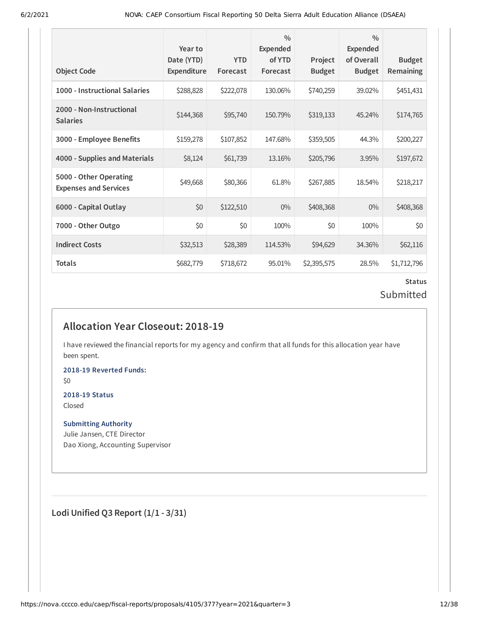| <b>Object Code</b>                                     | Year to<br>Date (YTD)<br><b>Expenditure</b> | <b>YTD</b><br>Forecast | $\frac{0}{0}$<br>Expended<br>of YTD<br>Forecast | Project<br><b>Budget</b> | $\frac{0}{0}$<br>Expended<br>of Overall<br><b>Budget</b> | <b>Budget</b><br>Remaining |
|--------------------------------------------------------|---------------------------------------------|------------------------|-------------------------------------------------|--------------------------|----------------------------------------------------------|----------------------------|
| 1000 - Instructional Salaries                          | \$288,828                                   | \$222,078              | 130.06%                                         | \$740,259                | 39.02%                                                   | \$451,431                  |
| 2000 - Non-Instructional<br><b>Salaries</b>            | \$144,368                                   | \$95,740               | 150.79%                                         | \$319,133                | 45.24%                                                   | \$174,765                  |
| 3000 - Employee Benefits                               | \$159,278                                   | \$107,852              | 147.68%                                         | \$359,505                | 44.3%                                                    | \$200,227                  |
| 4000 - Supplies and Materials                          | \$8,124                                     | \$61,739               | 13.16%                                          | \$205,796                | 3.95%                                                    | \$197,672                  |
| 5000 - Other Operating<br><b>Expenses and Services</b> | \$49,668                                    | \$80,366               | 61.8%                                           | \$267,885                | 18.54%                                                   | \$218,217                  |
| 6000 - Capital Outlay                                  | \$0                                         | \$122,510              | $0\%$                                           | \$408,368                | $0\%$                                                    | \$408,368                  |
| 7000 - Other Outgo                                     | \$0                                         | \$0                    | 100%                                            | \$0                      | 100%                                                     | \$0                        |
| <b>Indirect Costs</b>                                  | \$32,513                                    | \$28,389               | 114.53%                                         | \$94,629                 | 34.36%                                                   | \$62,116                   |
| Totals                                                 | \$682,779                                   | \$718,672              | 95.01%                                          | \$2,395,575              | 28.5%                                                    | \$1,712,796                |

## **Status** Submitted

## **Allocation Year Closeout: 2018-19**

I have reviewed the financial reports for my agency and confirm that all funds for this allocation year have been spent.

**2018-19 Reverted Funds:**

\$0

#### **2018-19 Status** Closed

**Submitting Authority**

Julie Jansen, CTE Director Dao Xiong, Accounting Supervisor

**Lodi Unified Q3 Report (1/1 - 3/31)**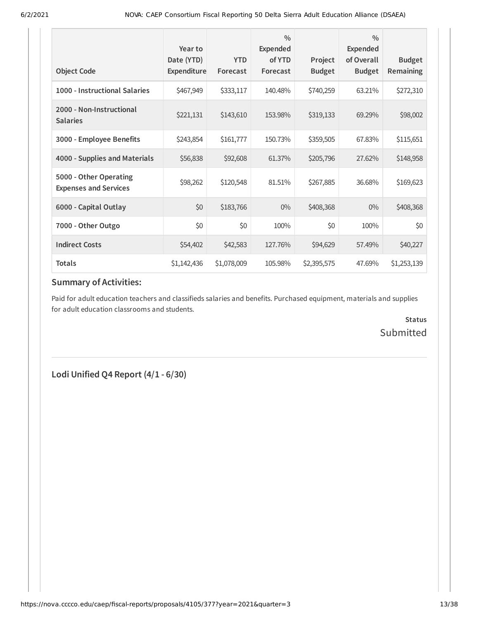| <b>Object Code</b>                                     | Year to<br>Date (YTD)<br><b>Expenditure</b> | <b>YTD</b><br>Forecast | $\frac{0}{0}$<br><b>Expended</b><br>of YTD<br>Forecast | Project<br><b>Budget</b> | $\frac{0}{0}$<br>Expended<br>of Overall<br><b>Budget</b> | <b>Budget</b><br>Remaining |
|--------------------------------------------------------|---------------------------------------------|------------------------|--------------------------------------------------------|--------------------------|----------------------------------------------------------|----------------------------|
| 1000 - Instructional Salaries                          | \$467,949                                   | \$333,117              | 140.48%                                                | \$740,259                | 63.21%                                                   | \$272,310                  |
| 2000 - Non-Instructional<br><b>Salaries</b>            | \$221,131                                   | \$143,610              | 153.98%                                                | \$319,133                | 69.29%                                                   | \$98,002                   |
| 3000 - Employee Benefits                               | \$243,854                                   | \$161,777              | 150.73%                                                | \$359,505                | 67.83%                                                   | \$115,651                  |
| 4000 - Supplies and Materials                          | \$56,838                                    | \$92,608               | 61.37%                                                 | \$205,796                | 27.62%                                                   | \$148,958                  |
| 5000 - Other Operating<br><b>Expenses and Services</b> | \$98,262                                    | \$120,548              | 81.51%                                                 | \$267,885                | 36.68%                                                   | \$169,623                  |
| 6000 - Capital Outlay                                  | \$0                                         | \$183,766              | $0\%$                                                  | \$408,368                | $0\%$                                                    | \$408,368                  |
| 7000 - Other Outgo                                     | \$0                                         | \$0                    | 100%                                                   | \$0                      | 100%                                                     | \$0                        |
| <b>Indirect Costs</b>                                  | \$54,402                                    | \$42,583               | 127.76%                                                | \$94,629                 | 57.49%                                                   | \$40,227                   |
| <b>Totals</b>                                          | \$1,142,436                                 | \$1,078,009            | 105.98%                                                | \$2,395,575              | 47.69%                                                   | \$1,253,139                |

## **Summary of Activities:**

Paid for adult education teachers and classifieds salaries and benefits. Purchased equipment, materials and supplies for adult education classrooms and students.

> **Status** Submitted

**Lodi Unified Q4 Report (4/1 - 6/30)**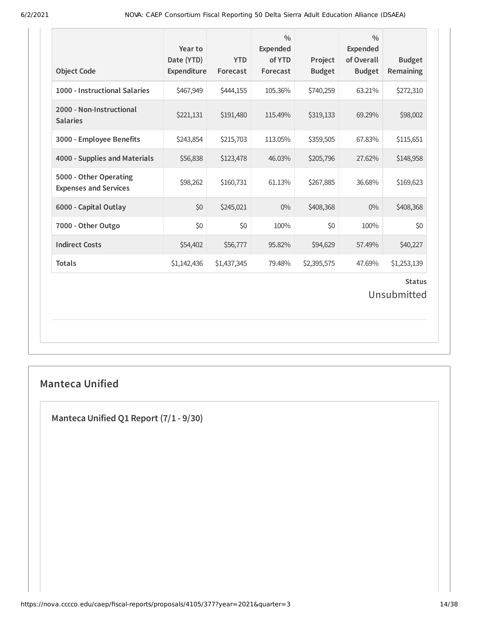| <b>Object Code</b>                                     | Year to<br>Date (YTD)<br>Expenditure | <b>YTD</b><br>Forecast | $\frac{0}{0}$<br><b>Expended</b><br>of YTD<br>Forecast | Project<br><b>Budget</b> | $\frac{0}{0}$<br><b>Expended</b><br>of Overall<br><b>Budget</b> | <b>Budget</b><br>Remaining |  |  |
|--------------------------------------------------------|--------------------------------------|------------------------|--------------------------------------------------------|--------------------------|-----------------------------------------------------------------|----------------------------|--|--|
| 1000 - Instructional Salaries                          | \$467,949                            | \$444,155              | 105.36%                                                | \$740,259                | 63.21%                                                          | \$272,310                  |  |  |
| 2000 - Non-Instructional<br><b>Salaries</b>            | \$221,131                            | \$191,480              | 115.49%                                                | \$319,133                | 69.29%                                                          | \$98,002                   |  |  |
| 3000 - Employee Benefits                               | \$243,854                            | \$215,703              | 113.05%                                                | \$359,505                | 67.83%                                                          | \$115,651                  |  |  |
| 4000 - Supplies and Materials                          | \$56,838                             | \$123,478              | 46.03%                                                 | \$205,796                | 27.62%                                                          | \$148,958                  |  |  |
| 5000 - Other Operating<br><b>Expenses and Services</b> | \$98,262                             | \$160,731              | 61.13%                                                 | \$267,885                | 36.68%                                                          | \$169,623                  |  |  |
| 6000 - Capital Outlay                                  | \$0                                  | \$245,021              | $0\%$                                                  | \$408,368                | $0\%$                                                           | \$408,368                  |  |  |
| 7000 - Other Outgo                                     | \$0                                  | \$0                    | 100%                                                   | \$0                      | 100%                                                            | \$0                        |  |  |
| <b>Indirect Costs</b>                                  | \$54,402                             | \$56,777               | 95.82%                                                 | \$94,629                 | 57.49%                                                          | \$40,227                   |  |  |
| <b>Totals</b>                                          | \$1,142,436                          | \$1,437,345            | 79.48%                                                 | \$2,395,575              | 47.69%                                                          | \$1,253,139                |  |  |
| <b>Status</b><br>Unsubmitted                           |                                      |                        |                                                        |                          |                                                                 |                            |  |  |

## **Manteca Unified**

**Manteca Unified Q1 Report (7/1 - 9/30)**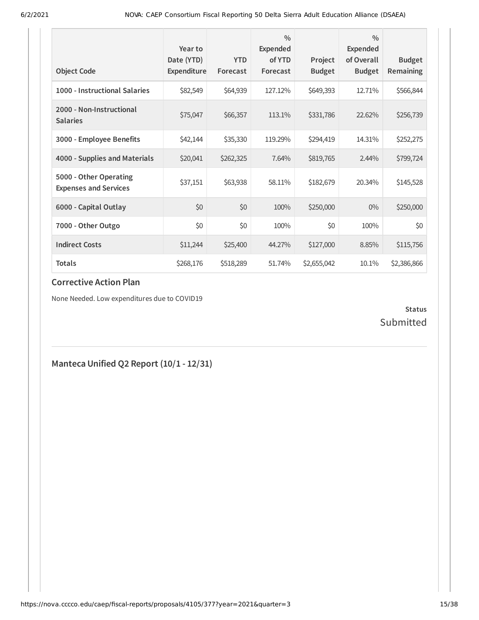| <b>Object Code</b>                                     | Year to<br>Date (YTD)<br>Expenditure | <b>YTD</b><br>Forecast | $\frac{0}{0}$<br>Expended<br>of YTD<br>Forecast | Project<br><b>Budget</b> | $\frac{0}{0}$<br><b>Expended</b><br>of Overall<br><b>Budget</b> | <b>Budget</b><br>Remaining |
|--------------------------------------------------------|--------------------------------------|------------------------|-------------------------------------------------|--------------------------|-----------------------------------------------------------------|----------------------------|
| 1000 - Instructional Salaries                          | \$82,549                             | \$64,939               | 127.12%                                         | \$649,393                | 12.71%                                                          | \$566,844                  |
| 2000 - Non-Instructional<br><b>Salaries</b>            | \$75,047                             | \$66,357               | 113.1%                                          | \$331,786                | 22.62%                                                          | \$256,739                  |
| 3000 - Employee Benefits                               | \$42,144                             | \$35,330               | 119.29%                                         | \$294,419                | 14.31%                                                          | \$252,275                  |
| 4000 - Supplies and Materials                          | \$20,041                             | \$262,325              | 7.64%                                           | \$819,765                | 2.44%                                                           | \$799,724                  |
| 5000 - Other Operating<br><b>Expenses and Services</b> | \$37,151                             | \$63,938               | 58.11%                                          | \$182,679                | 20.34%                                                          | \$145,528                  |
| 6000 - Capital Outlay                                  | \$0                                  | \$0                    | 100%                                            | \$250,000                | $0\%$                                                           | \$250,000                  |
| 7000 - Other Outgo                                     | \$0                                  | \$0                    | 100%                                            | \$0                      | 100%                                                            | \$0                        |
| <b>Indirect Costs</b>                                  | \$11,244                             | \$25,400               | 44.27%                                          | \$127,000                | 8.85%                                                           | \$115,756                  |
| <b>Totals</b>                                          | \$268,176                            | \$518,289              | 51.74%                                          | \$2,655,042              | 10.1%                                                           | \$2,386,866                |

None Needed. Low expenditures due to COVID19

#### **Status** Submitted

## **Manteca Unified Q2 Report (10/1 - 12/31)**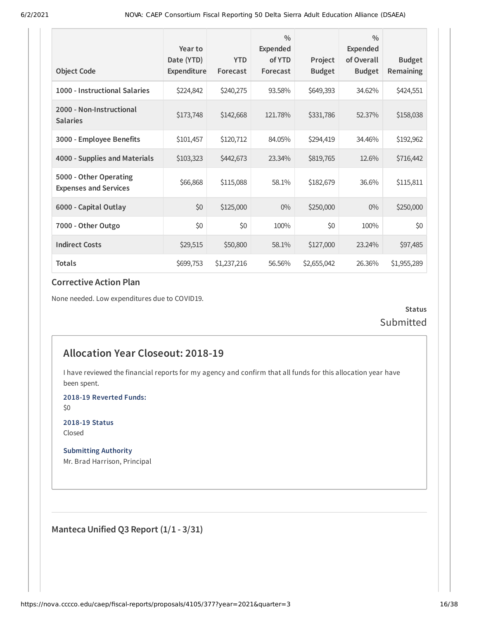|                                                        | Year to<br>Date (YTD) | <b>YTD</b>  | $\frac{0}{0}$<br>Expended<br>of YTD | Project       | $\frac{0}{0}$<br>Expended<br>of Overall | <b>Budget</b> |
|--------------------------------------------------------|-----------------------|-------------|-------------------------------------|---------------|-----------------------------------------|---------------|
| <b>Object Code</b>                                     | Expenditure           | Forecast    | Forecast                            | <b>Budget</b> | <b>Budget</b>                           | Remaining     |
| 1000 - Instructional Salaries                          | \$224,842             | \$240,275   | 93.58%                              | \$649,393     | 34.62%                                  | \$424,551     |
| 2000 - Non-Instructional<br><b>Salaries</b>            | \$173,748             | \$142,668   | 121.78%                             | \$331,786     | 52.37%                                  | \$158,038     |
| 3000 - Employee Benefits                               | \$101,457             | \$120,712   | 84.05%                              | \$294,419     | 34.46%                                  | \$192,962     |
| 4000 - Supplies and Materials                          | \$103,323             | \$442,673   | 23.34%                              | \$819,765     | 12.6%                                   | \$716,442     |
| 5000 - Other Operating<br><b>Expenses and Services</b> | \$66,868              | \$115,088   | 58.1%                               | \$182,679     | 36.6%                                   | \$115,811     |
| 6000 - Capital Outlay                                  | \$0                   | \$125,000   | $0\%$                               | \$250,000     | $0\%$                                   | \$250,000     |
| 7000 - Other Outgo                                     | \$0                   | \$0         | 100%                                | \$0           | 100%                                    | \$0           |
| <b>Indirect Costs</b>                                  | \$29,515              | \$50,800    | 58.1%                               | \$127,000     | 23.24%                                  | \$97,485      |
| <b>Totals</b>                                          | \$699,753             | \$1,237,216 | 56.56%                              | \$2,655,042   | 26.36%                                  | \$1,955,289   |

None needed. Low expenditures due to COVID19.

**Status** Submitted

## **Allocation Year Closeout: 2018-19**

I have reviewed the financial reports for my agency and confirm that all funds for this allocation year have been spent.

**2018-19 Reverted Funds:**

\$0

**2018-19 Status** Closed

**Submitting Authority** Mr. Brad Harrison, Principal

**Manteca Unified Q3 Report (1/1 - 3/31)**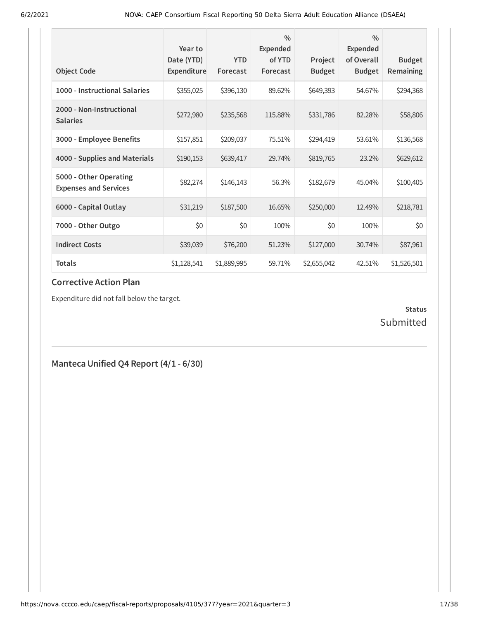| <b>Object Code</b>                                     | Year to<br>Date (YTD)<br>Expenditure | <b>YTD</b><br>Forecast | $\frac{0}{0}$<br><b>Expended</b><br>of YTD<br>Forecast | Project<br><b>Budget</b> | $\frac{0}{0}$<br><b>Expended</b><br>of Overall<br><b>Budget</b> | <b>Budget</b><br>Remaining |
|--------------------------------------------------------|--------------------------------------|------------------------|--------------------------------------------------------|--------------------------|-----------------------------------------------------------------|----------------------------|
| 1000 - Instructional Salaries                          | \$355,025                            | \$396,130              | 89.62%                                                 | \$649,393                | 54.67%                                                          | \$294,368                  |
| 2000 - Non-Instructional<br><b>Salaries</b>            | \$272,980                            | \$235,568              | 115.88%                                                | \$331,786                | 82.28%                                                          | \$58,806                   |
| 3000 - Employee Benefits                               | \$157,851                            | \$209,037              | 75.51%                                                 | \$294,419                | 53.61%                                                          | \$136,568                  |
| 4000 - Supplies and Materials                          | \$190,153                            | \$639,417              | 29.74%                                                 | \$819,765                | 23.2%                                                           | \$629,612                  |
| 5000 - Other Operating<br><b>Expenses and Services</b> | \$82,274                             | \$146,143              | 56.3%                                                  | \$182,679                | 45.04%                                                          | \$100,405                  |
| 6000 - Capital Outlay                                  | \$31,219                             | \$187,500              | 16.65%                                                 | \$250,000                | 12.49%                                                          | \$218,781                  |
| 7000 - Other Outgo                                     | \$0                                  | \$0                    | 100%                                                   | \$0                      | 100%                                                            | \$0                        |
| <b>Indirect Costs</b>                                  | \$39,039                             | \$76,200               | 51.23%                                                 | \$127,000                | 30.74%                                                          | \$87,961                   |
| Totals                                                 | \$1,128,541                          | \$1,889,995            | 59.71%                                                 | \$2,655,042              | 42.51%                                                          | \$1,526,501                |

Expenditure did not fall below the target.

#### **Status** Submitted

**Manteca Unified Q4 Report (4/1 - 6/30)**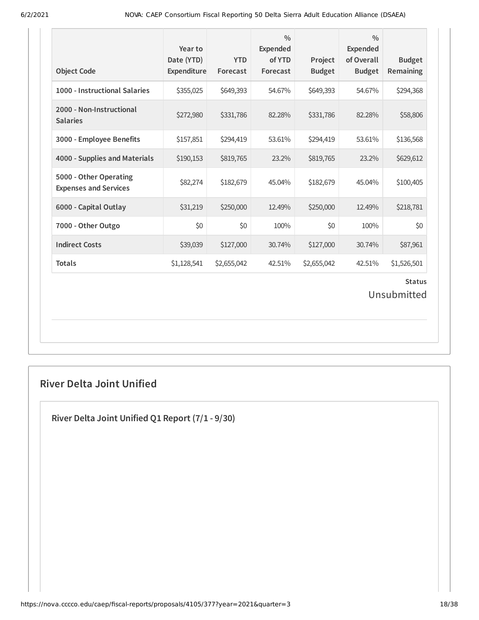| <b>Object Code</b>                                     | Year to<br>Date (YTD)<br>Expenditure | <b>YTD</b><br>Forecast | $\frac{0}{0}$<br><b>Expended</b><br>of YTD<br>Forecast | Project<br><b>Budget</b> | $\frac{0}{0}$<br><b>Expended</b><br>of Overall<br><b>Budget</b> | <b>Budget</b><br>Remaining |  |
|--------------------------------------------------------|--------------------------------------|------------------------|--------------------------------------------------------|--------------------------|-----------------------------------------------------------------|----------------------------|--|
| 1000 - Instructional Salaries                          | \$355,025                            | \$649,393              | 54.67%                                                 | \$649,393                | 54.67%                                                          | \$294,368                  |  |
| 2000 - Non-Instructional<br><b>Salaries</b>            | \$272,980                            | \$331,786              | 82.28%                                                 | \$331,786                | 82.28%                                                          | \$58,806                   |  |
| 3000 - Employee Benefits                               | \$157,851                            | \$294,419              | 53.61%                                                 | \$294,419                | 53.61%                                                          | \$136,568                  |  |
| 4000 - Supplies and Materials                          | \$190,153                            | \$819,765              | 23.2%                                                  | \$819,765                | 23.2%                                                           | \$629,612                  |  |
| 5000 - Other Operating<br><b>Expenses and Services</b> | \$82,274                             | \$182,679              | 45.04%                                                 | \$182,679                | 45.04%                                                          | \$100,405                  |  |
| 6000 - Capital Outlay                                  | \$31,219                             | \$250,000              | 12.49%                                                 | \$250,000                | 12.49%                                                          | \$218,781                  |  |
| 7000 - Other Outgo                                     | \$0                                  | \$0                    | 100%                                                   | \$0                      | 100%                                                            | \$0                        |  |
| <b>Indirect Costs</b>                                  | \$39,039                             | \$127,000              | 30.74%                                                 | \$127,000                | 30.74%                                                          | \$87,961                   |  |
| <b>Totals</b>                                          | \$1,128,541                          | \$2,655,042            | 42.51%                                                 | \$2,655,042              | 42.51%                                                          | \$1,526,501                |  |
| <b>Status</b><br>Unsubmitted                           |                                      |                        |                                                        |                          |                                                                 |                            |  |

## **River Delta Joint Unified**

**River Delta Joint Unified Q1 Report (7/1 - 9/30)**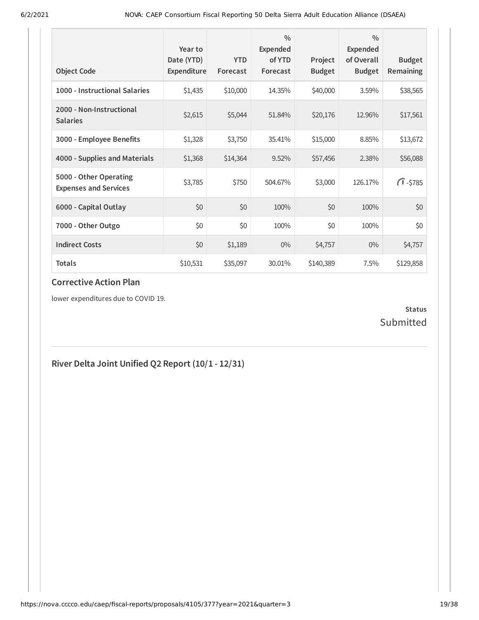| <b>Object Code</b>                                     | Year to<br>Date (YTD)<br>Expenditure | <b>YTD</b><br>Forecast | $\frac{0}{0}$<br>Expended<br>of YTD<br>Forecast | Project<br><b>Budget</b> | $\frac{0}{0}$<br><b>Expended</b><br>of Overall<br><b>Budget</b> | <b>Budget</b><br><b>Remaining</b> |
|--------------------------------------------------------|--------------------------------------|------------------------|-------------------------------------------------|--------------------------|-----------------------------------------------------------------|-----------------------------------|
| 1000 - Instructional Salaries                          | \$1,435                              | \$10,000               | 14.35%                                          | \$40,000                 | 3.59%                                                           | \$38,565                          |
| 2000 - Non-Instructional<br><b>Salaries</b>            | \$2,615                              | \$5,044                | 51.84%                                          | \$20,176                 | 12.96%                                                          | \$17,561                          |
| 3000 - Employee Benefits                               | \$1,328                              | \$3,750                | 35.41%                                          | \$15,000                 | 8.85%                                                           | \$13,672                          |
| 4000 - Supplies and Materials                          | \$1,368                              | \$14,364               | 9.52%                                           | \$57,456                 | 2.38%                                                           | \$56,088                          |
| 5000 - Other Operating<br><b>Expenses and Services</b> | \$3,785                              | \$750                  | 504.67%                                         | \$3,000                  | 126.17%                                                         | $\sqrt{1} - $785$                 |
| 6000 - Capital Outlay                                  | \$0                                  | \$0                    | 100%                                            | \$0                      | 100%                                                            | \$0                               |
| 7000 - Other Outgo                                     | \$0                                  | \$0                    | 100%                                            | \$0                      | 100%                                                            | \$0                               |
| <b>Indirect Costs</b>                                  | \$0                                  | \$1,189                | $0\%$                                           | \$4,757                  | $0\%$                                                           | \$4,757                           |
| <b>Totals</b>                                          | \$10,531                             | \$35,097               | 30.01%                                          | \$140,389                | 7.5%                                                            | \$129,858                         |

lower expenditures due to COVID 19.

#### **Status** Submitted

# **River Delta Joint Unified Q2 Report (10/1 - 12/31)**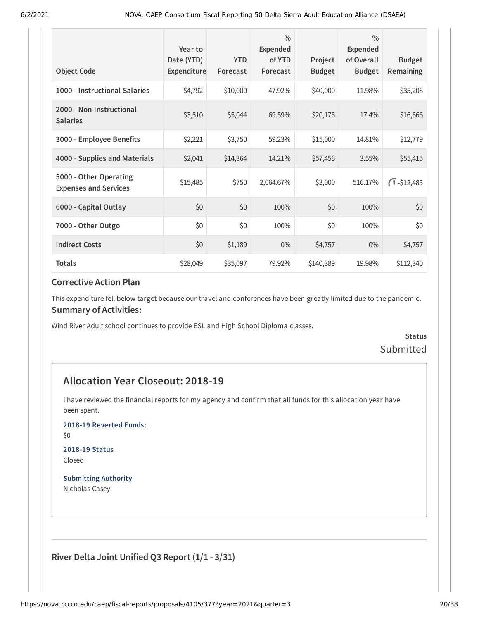| <b>Object Code</b>                                     | Year to<br>Date (YTD)<br><b>Expenditure</b> | <b>YTD</b><br>Forecast | $\frac{0}{0}$<br>Expended<br>of YTD<br>Forecast | Project<br><b>Budget</b> | $\frac{0}{0}$<br>Expended<br>of Overall<br><b>Budget</b> | <b>Budget</b><br>Remaining |
|--------------------------------------------------------|---------------------------------------------|------------------------|-------------------------------------------------|--------------------------|----------------------------------------------------------|----------------------------|
| 1000 - Instructional Salaries                          | \$4,792                                     | \$10,000               | 47.92%                                          | \$40,000                 | 11.98%                                                   | \$35,208                   |
| 2000 - Non-Instructional<br><b>Salaries</b>            | \$3,510                                     | \$5,044                | 69.59%                                          | \$20,176                 | 17.4%                                                    | \$16,666                   |
| 3000 - Employee Benefits                               | \$2,221                                     | \$3,750                | 59.23%                                          | \$15,000                 | 14.81%                                                   | \$12,779                   |
| 4000 - Supplies and Materials                          | \$2,041                                     | \$14,364               | 14.21%                                          | \$57,456                 | 3.55%                                                    | \$55,415                   |
| 5000 - Other Operating<br><b>Expenses and Services</b> | \$15,485                                    | \$750                  | 2,064.67%                                       | \$3,000                  | 516.17%                                                  | $\sqrt{1} - $12,485$       |
| 6000 - Capital Outlay                                  | \$0                                         | \$0                    | 100%                                            | \$0                      | 100%                                                     | \$0                        |
| 7000 - Other Outgo                                     | \$0                                         | \$0                    | 100%                                            | \$0                      | 100%                                                     | \$0                        |
| <b>Indirect Costs</b>                                  | \$0                                         | \$1,189                | $0\%$                                           | \$4,757                  | $0\%$                                                    | \$4,757                    |
| <b>Totals</b>                                          | \$28,049                                    | \$35,097               | 79.92%                                          | \$140,389                | 19.98%                                                   | \$112,340                  |

This expenditure fell below target because our travel and conferences have been greatly limited due to the pandemic. **Summary of Activities:**

Wind River Adult school continues to provide ESL and High School Diploma classes.

**Status** Submitted

## **Allocation Year Closeout: 2018-19**

I have reviewed the financial reports for my agency and confirm that all funds for this allocation year have been spent.

**2018-19 Reverted Funds:**

\$0

**2018-19 Status** Closed

**Submitting Authority** Nicholas Casey

**River Delta Joint Unified Q3 Report (1/1 - 3/31)**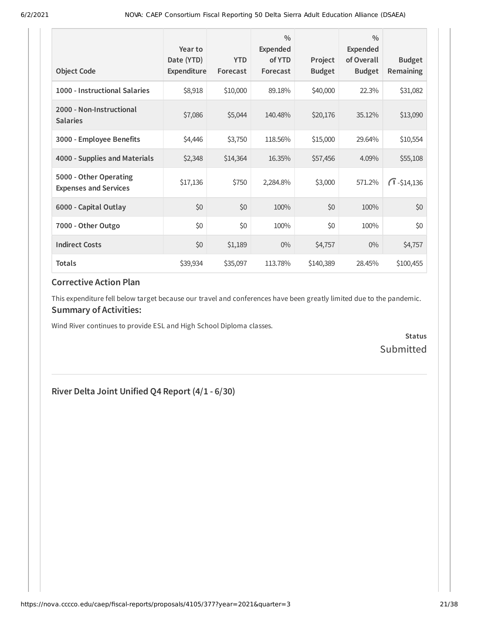| <b>Object Code</b>                                     | Year to<br>Date (YTD)<br>Expenditure | <b>YTD</b><br>Forecast | $\frac{0}{0}$<br><b>Expended</b><br>of YTD<br>Forecast | Project<br><b>Budget</b> | $\frac{0}{0}$<br><b>Expended</b><br>of Overall<br><b>Budget</b> | <b>Budget</b><br><b>Remaining</b> |
|--------------------------------------------------------|--------------------------------------|------------------------|--------------------------------------------------------|--------------------------|-----------------------------------------------------------------|-----------------------------------|
| 1000 - Instructional Salaries                          | \$8,918                              | \$10,000               | 89.18%                                                 | \$40,000                 | 22.3%                                                           | \$31,082                          |
| 2000 - Non-Instructional<br><b>Salaries</b>            | \$7,086                              | \$5,044                | 140.48%                                                | \$20,176                 | 35.12%                                                          | \$13,090                          |
| 3000 - Employee Benefits                               | \$4,446                              | \$3,750                | 118.56%                                                | \$15,000                 | 29.64%                                                          | \$10,554                          |
| 4000 - Supplies and Materials                          | \$2,348                              | \$14,364               | 16.35%                                                 | \$57,456                 | 4.09%                                                           | \$55,108                          |
| 5000 - Other Operating<br><b>Expenses and Services</b> | \$17,136                             | \$750                  | 2,284.8%                                               | \$3,000                  | 571.2%                                                          | $\sqrt{1} - $14,136$              |
| 6000 - Capital Outlay                                  | \$0                                  | \$0                    | 100%                                                   | \$0                      | 100%                                                            | \$0                               |
| 7000 - Other Outgo                                     | \$0                                  | \$0                    | 100%                                                   | \$0                      | 100%                                                            | \$0                               |
| <b>Indirect Costs</b>                                  | \$0                                  | \$1,189                | $0\%$                                                  | \$4,757                  | $0\%$                                                           | \$4,757                           |
| <b>Totals</b>                                          | \$39,934                             | \$35,097               | 113.78%                                                | \$140,389                | 28.45%                                                          | \$100,455                         |

This expenditure fell below target because our travel and conferences have been greatly limited due to the pandemic. **Summary of Activities:**

Wind River continues to provide ESL and High School Diploma classes.

**Status Submitted** 

## **River Delta Joint Unified Q4 Report (4/1 - 6/30)**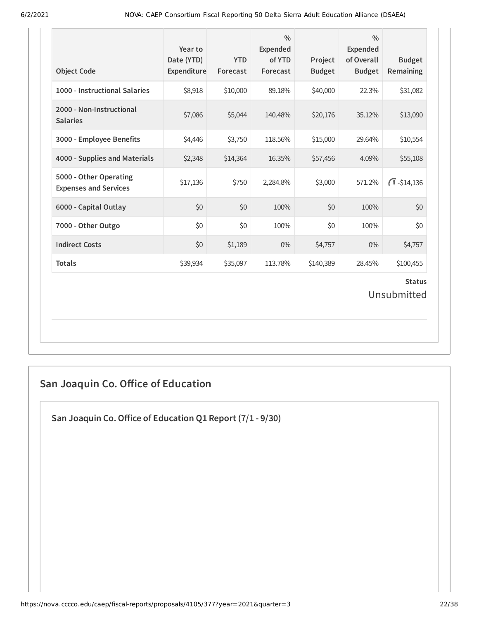| <b>Object Code</b>                                     | Year to<br>Date (YTD)<br>Expenditure | <b>YTD</b><br>Forecast | $\frac{0}{0}$<br><b>Expended</b><br>of YTD<br>Forecast | Project<br><b>Budget</b> | $\frac{0}{0}$<br><b>Expended</b><br>of Overall<br><b>Budget</b> | <b>Budget</b><br>Remaining |  |
|--------------------------------------------------------|--------------------------------------|------------------------|--------------------------------------------------------|--------------------------|-----------------------------------------------------------------|----------------------------|--|
| 1000 - Instructional Salaries                          | \$8,918                              | \$10,000               | 89.18%                                                 | \$40,000                 | 22.3%                                                           | \$31,082                   |  |
| 2000 - Non-Instructional<br><b>Salaries</b>            | \$7,086                              | \$5,044                | 140.48%                                                | \$20,176                 | 35.12%                                                          | \$13,090                   |  |
| 3000 - Employee Benefits                               | \$4,446                              | \$3,750                | 118.56%                                                | \$15,000                 | 29.64%                                                          | \$10,554                   |  |
| 4000 - Supplies and Materials                          | \$2,348                              | \$14,364               | 16.35%                                                 | \$57,456                 | 4.09%                                                           | \$55,108                   |  |
| 5000 - Other Operating<br><b>Expenses and Services</b> | \$17,136                             | \$750                  | 2,284.8%                                               | \$3,000                  | 571.2%                                                          | $\bigcap$ -\$14,136        |  |
| 6000 - Capital Outlay                                  | \$0                                  | \$0                    | 100%                                                   | \$0                      | 100%                                                            | \$0                        |  |
| 7000 - Other Outgo                                     | \$0                                  | \$0                    | 100%                                                   | \$0                      | 100%                                                            | \$0                        |  |
| <b>Indirect Costs</b>                                  | \$0                                  | \$1,189                | $0\%$                                                  | \$4,757                  | 0%                                                              | \$4,757                    |  |
| <b>Totals</b>                                          | \$39,934                             | \$35,097               | 113.78%                                                | \$140,389                | 28.45%                                                          | \$100,455                  |  |
| <b>Status</b><br>Unsubmitted                           |                                      |                        |                                                        |                          |                                                                 |                            |  |

# **San Joaquin Co. Oice of Education**

**San Joaquin Co.Oice of Education Q1 Report (7/1 - 9/30)**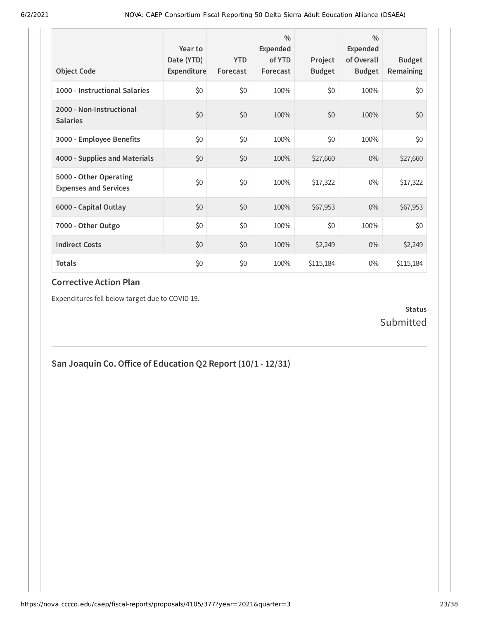| <b>Object Code</b>                                     | Year to<br>Date (YTD)<br>Expenditure | <b>YTD</b><br>Forecast | $\frac{0}{0}$<br>Expended<br>of YTD<br>Forecast | Project<br><b>Budget</b> | $\frac{0}{0}$<br>Expended<br>of Overall<br><b>Budget</b> | <b>Budget</b><br><b>Remaining</b> |
|--------------------------------------------------------|--------------------------------------|------------------------|-------------------------------------------------|--------------------------|----------------------------------------------------------|-----------------------------------|
| 1000 - Instructional Salaries                          | \$0                                  | \$0                    | 100%                                            | \$0                      | 100%                                                     | \$0                               |
| 2000 - Non-Instructional<br><b>Salaries</b>            | \$0                                  | \$0                    | 100%                                            | \$0                      | 100%                                                     | \$0                               |
| 3000 - Employee Benefits                               | \$0                                  | \$0                    | 100%                                            | \$0                      | 100%                                                     | \$0                               |
| 4000 - Supplies and Materials                          | \$0                                  | \$0                    | 100%                                            | \$27,660                 | $0\%$                                                    | \$27,660                          |
| 5000 - Other Operating<br><b>Expenses and Services</b> | \$0                                  | \$0                    | 100%                                            | \$17,322                 | $0\%$                                                    | \$17,322                          |
| 6000 - Capital Outlay                                  | \$0                                  | \$0                    | 100%                                            | \$67,953                 | $0\%$                                                    | \$67,953                          |
| 7000 - Other Outgo                                     | \$0                                  | \$0                    | 100%                                            | \$0                      | 100%                                                     | \$0                               |
| <b>Indirect Costs</b>                                  | \$0                                  | \$0                    | 100%                                            | \$2,249                  | $0\%$                                                    | \$2,249                           |
| <b>Totals</b>                                          | \$0                                  | \$0                    | 100%                                            | \$115,184                | $0\%$                                                    | \$115,184                         |

Expenditures fell below target due to COVID 19.

#### **Status** Submitted

**San Joaquin Co.Oice of Education Q2 Report (10/1 - 12/31)**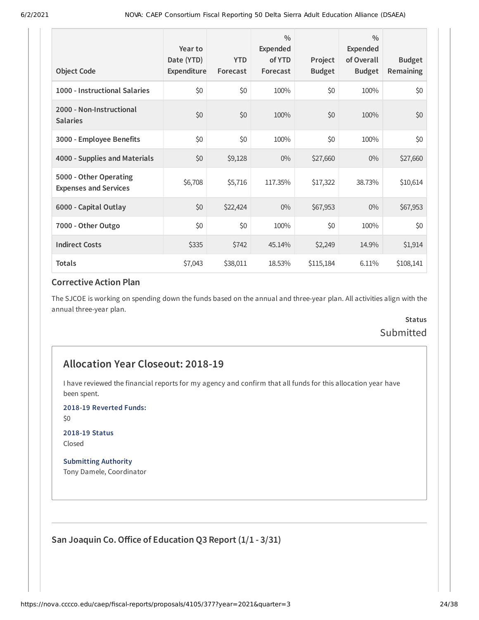| <b>Object Code</b>                                     | Year to<br>Date (YTD)<br>Expenditure | <b>YTD</b><br>Forecast | $\frac{0}{0}$<br>Expended<br>of YTD<br>Forecast | Project<br><b>Budget</b> | $\frac{0}{0}$<br><b>Expended</b><br>of Overall<br><b>Budget</b> | <b>Budget</b><br>Remaining |
|--------------------------------------------------------|--------------------------------------|------------------------|-------------------------------------------------|--------------------------|-----------------------------------------------------------------|----------------------------|
| 1000 - Instructional Salaries                          | \$0                                  | \$0                    | 100%                                            | \$0                      | 100%                                                            | \$0                        |
| 2000 - Non-Instructional<br><b>Salaries</b>            | \$0                                  | \$0                    | 100%                                            | \$0                      | 100%                                                            | \$0                        |
| 3000 - Employee Benefits                               | \$0                                  | \$0                    | 100%                                            | \$0                      | 100%                                                            | \$0                        |
| 4000 - Supplies and Materials                          | \$0                                  | \$9,128                | $0\%$                                           | \$27,660                 | $0\%$                                                           | \$27,660                   |
| 5000 - Other Operating<br><b>Expenses and Services</b> | \$6,708                              | \$5,716                | 117.35%                                         | \$17,322                 | 38.73%                                                          | \$10,614                   |
| 6000 - Capital Outlay                                  | \$0                                  | \$22,424               | $0\%$                                           | \$67,953                 | $0\%$                                                           | \$67,953                   |
| 7000 - Other Outgo                                     | \$0                                  | \$0                    | 100%                                            | \$0                      | 100%                                                            | \$0                        |
| <b>Indirect Costs</b>                                  | \$335                                | \$742                  | 45.14%                                          | \$2,249                  | 14.9%                                                           | \$1,914                    |
| <b>Totals</b>                                          | \$7,043                              | \$38,011               | 18.53%                                          | \$115,184                | 6.11%                                                           | \$108,141                  |

The SJCOE is working on spending down the funds based on the annual and three-year plan. All activities align with the annual three-year plan.

## **Status** Submitted

## **Allocation Year Closeout: 2018-19**

I have reviewed the financial reports for my agency and confirm that all funds for this allocation year have been spent.

**2018-19 Reverted Funds:**

\$0

**2018-19 Status** Closed

**Submitting Authority** Tony Damele, Coordinator

**San Joaquin Co.Oice of Education Q3 Report (1/1 - 3/31)**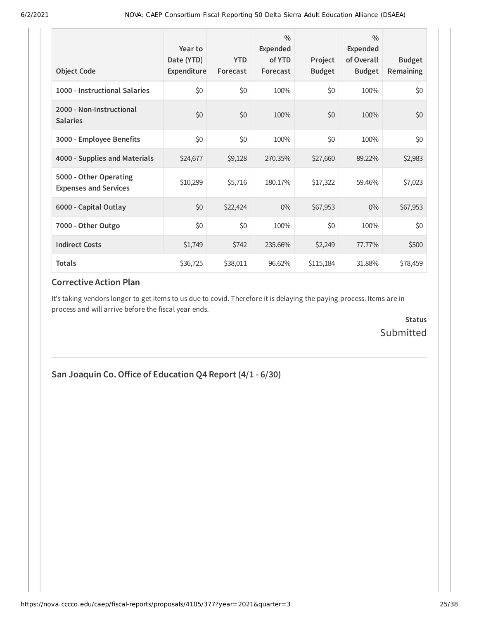| <b>Object Code</b>                                     | Year to<br>Date (YTD)<br>Expenditure | <b>YTD</b><br>Forecast | $\frac{0}{0}$<br>Expended<br>of YTD<br>Forecast | Project<br><b>Budget</b> | $\frac{0}{0}$<br>Expended<br>of Overall<br><b>Budget</b> | <b>Budget</b><br><b>Remaining</b> |
|--------------------------------------------------------|--------------------------------------|------------------------|-------------------------------------------------|--------------------------|----------------------------------------------------------|-----------------------------------|
| 1000 - Instructional Salaries                          | \$0                                  | \$0                    | 100%                                            | \$0                      | 100%                                                     | \$0                               |
| 2000 - Non-Instructional<br><b>Salaries</b>            | \$0                                  | \$0                    | 100%                                            | \$0                      | 100%                                                     | \$0                               |
| 3000 - Employee Benefits                               | \$0                                  | \$0                    | 100%                                            | \$0                      | 100%                                                     | \$0                               |
| 4000 - Supplies and Materials                          | \$24,677                             | \$9,128                | 270.35%                                         | \$27,660                 | 89.22%                                                   | \$2,983                           |
| 5000 - Other Operating<br><b>Expenses and Services</b> | \$10,299                             | \$5,716                | 180.17%                                         | \$17,322                 | 59.46%                                                   | \$7,023                           |
| 6000 - Capital Outlay                                  | \$0                                  | \$22,424               | $0\%$                                           | \$67,953                 | $0\%$                                                    | \$67,953                          |
| 7000 - Other Outgo                                     | \$0                                  | \$0                    | 100%                                            | \$0                      | 100%                                                     | \$0                               |
| <b>Indirect Costs</b>                                  | \$1,749                              | \$742                  | 235.66%                                         | \$2,249                  | 77.77%                                                   | \$500                             |
| <b>Totals</b>                                          | \$36,725                             | \$38,011               | 96.62%                                          | \$115,184                | 31.88%                                                   | \$78,459                          |

It's taking vendors longer to get items to us due to covid. Therefore it is delaying the paying process. Items are in process and will arrive before the fiscal year ends.

> **Status** Submitted

## **San Joaquin Co.Oice of Education Q4 Report (4/1 - 6/30)**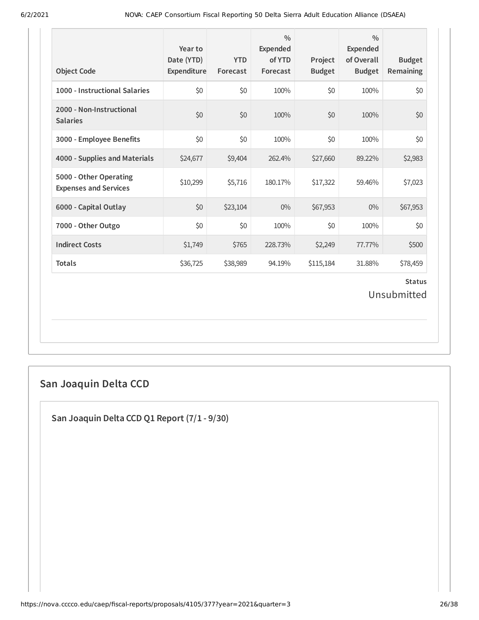| <b>Object Code</b>                                     | Year to<br>Date (YTD)<br>Expenditure | <b>YTD</b><br>Forecast | $\frac{0}{0}$<br><b>Expended</b><br>of YTD<br>Forecast | Project<br><b>Budget</b> | $\frac{0}{0}$<br><b>Expended</b><br>of Overall<br><b>Budget</b> | <b>Budget</b><br>Remaining   |
|--------------------------------------------------------|--------------------------------------|------------------------|--------------------------------------------------------|--------------------------|-----------------------------------------------------------------|------------------------------|
| 1000 - Instructional Salaries                          | \$0                                  | \$0                    | 100%                                                   | \$0                      | 100%                                                            | \$0                          |
| 2000 - Non-Instructional<br><b>Salaries</b>            | \$0                                  | \$0                    | 100%                                                   | \$0                      | 100%                                                            | \$0                          |
| 3000 - Employee Benefits                               | \$0                                  | \$0                    | 100%                                                   | \$0                      | 100%                                                            | \$0                          |
| 4000 - Supplies and Materials                          | \$24,677                             | \$9,404                | 262.4%                                                 | \$27,660                 | 89.22%                                                          | \$2,983                      |
| 5000 - Other Operating<br><b>Expenses and Services</b> | \$10,299                             | \$5,716                | 180.17%                                                | \$17,322                 | 59.46%                                                          | \$7,023                      |
| 6000 - Capital Outlay                                  | \$0                                  | \$23,104               | $0\%$                                                  | \$67,953                 | $0\%$                                                           | \$67,953                     |
| 7000 - Other Outgo                                     | \$0                                  | \$0                    | 100%                                                   | \$0                      | 100%                                                            | \$0                          |
| <b>Indirect Costs</b>                                  | \$1,749                              | \$765                  | 228.73%                                                | \$2,249                  | 77.77%                                                          | \$500                        |
| <b>Totals</b>                                          | \$36,725                             | \$38,989               | 94.19%                                                 | \$115,184                | 31.88%                                                          | \$78,459                     |
|                                                        |                                      |                        |                                                        |                          |                                                                 | <b>Status</b><br>Unsubmitted |

# **San Joaquin Delta CCD**

**San Joaquin Delta CCD Q1 Report (7/1 - 9/30)**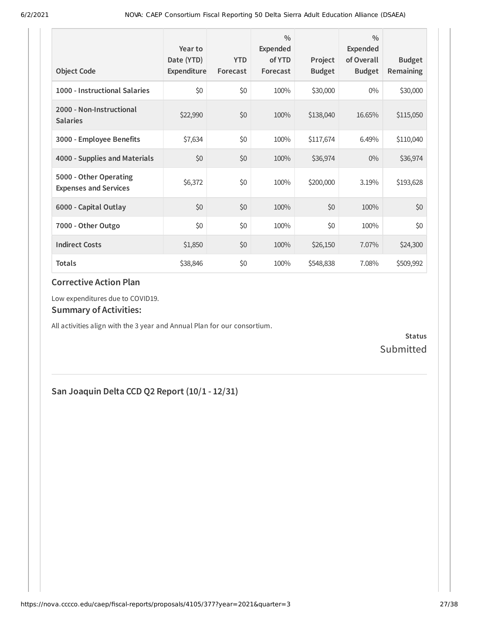| <b>Object Code</b>                                     | Year to<br>Date (YTD)<br>Expenditure | <b>YTD</b><br>Forecast | 0/0<br>Expended<br>of YTD<br>Forecast | Project<br><b>Budget</b> | $\frac{0}{0}$<br><b>Expended</b><br>of Overall<br><b>Budget</b> | <b>Budget</b><br>Remaining |
|--------------------------------------------------------|--------------------------------------|------------------------|---------------------------------------|--------------------------|-----------------------------------------------------------------|----------------------------|
| 1000 - Instructional Salaries                          | \$0                                  | \$0                    | 100%                                  | \$30,000                 | $0\%$                                                           | \$30,000                   |
| 2000 - Non-Instructional<br><b>Salaries</b>            | \$22,990                             | \$0                    | 100%                                  | \$138,040                | 16.65%                                                          | \$115,050                  |
| 3000 - Employee Benefits                               | \$7,634                              | \$0                    | 100%                                  | \$117,674                | 6.49%                                                           | \$110,040                  |
| 4000 - Supplies and Materials                          | \$0                                  | \$0                    | 100%                                  | \$36,974                 | $0\%$                                                           | \$36,974                   |
| 5000 - Other Operating<br><b>Expenses and Services</b> | \$6,372                              | \$0                    | 100%                                  | \$200,000                | 3.19%                                                           | \$193,628                  |
| 6000 - Capital Outlay                                  | \$0                                  | \$0                    | 100%                                  | \$0                      | 100%                                                            | \$0                        |
| 7000 - Other Outgo                                     | \$0                                  | \$0                    | 100%                                  | \$0                      | 100%                                                            | \$0                        |
| <b>Indirect Costs</b>                                  | \$1,850                              | \$0                    | 100%                                  | \$26,150                 | 7.07%                                                           | \$24,300                   |
| <b>Totals</b>                                          | \$38,846                             | \$0                    | 100%                                  | \$548,838                | 7.08%                                                           | \$509,992                  |

Low expenditures due to COVID19.

#### **Summary of Activities:**

All activities align with the 3 year and Annual Plan for our consortium.

**Status** Submitted

## **San Joaquin Delta CCD Q2 Report (10/1 - 12/31)**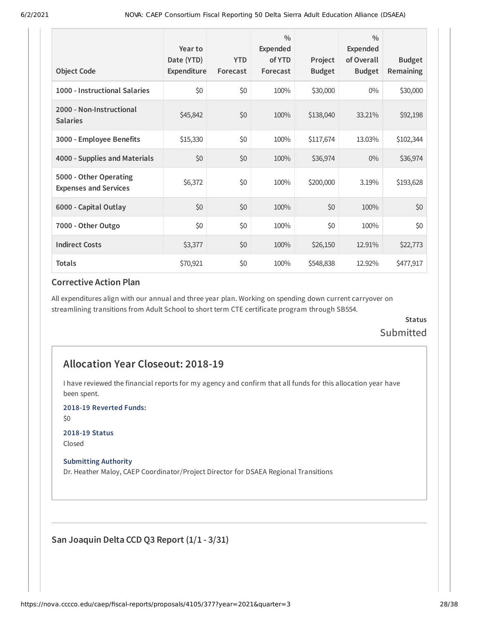| <b>Object Code</b>                                     | Year to<br>Date (YTD)<br>Expenditure | <b>YTD</b><br>Forecast | $\frac{0}{0}$<br>Expended<br>of YTD<br>Forecast | Project<br><b>Budget</b> | $\frac{0}{0}$<br>Expended<br>of Overall<br><b>Budget</b> | <b>Budget</b><br><b>Remaining</b> |
|--------------------------------------------------------|--------------------------------------|------------------------|-------------------------------------------------|--------------------------|----------------------------------------------------------|-----------------------------------|
| 1000 - Instructional Salaries                          | \$0                                  | \$0                    | 100%                                            | \$30,000                 | $0\%$                                                    | \$30,000                          |
| 2000 - Non-Instructional<br><b>Salaries</b>            | \$45,842                             | \$0                    | 100%                                            | \$138,040                | 33.21%                                                   | \$92,198                          |
| 3000 - Employee Benefits                               | \$15,330                             | \$0                    | 100%                                            | \$117,674                | 13.03%                                                   | \$102,344                         |
| 4000 - Supplies and Materials                          | \$0                                  | \$0                    | 100%                                            | \$36,974                 | $0\%$                                                    | \$36,974                          |
| 5000 - Other Operating<br><b>Expenses and Services</b> | \$6,372                              | \$0                    | 100%                                            | \$200,000                | 3.19%                                                    | \$193,628                         |
| 6000 - Capital Outlay                                  | \$0                                  | \$0                    | 100%                                            | \$0                      | 100%                                                     | \$0                               |
| 7000 - Other Outgo                                     | \$0                                  | \$0                    | 100%                                            | \$0                      | 100%                                                     | \$0                               |
| <b>Indirect Costs</b>                                  | \$3,377                              | \$0                    | 100%                                            | \$26,150                 | 12.91%                                                   | \$22,773                          |
| <b>Totals</b>                                          | \$70,921                             | \$0                    | 100%                                            | \$548,838                | 12.92%                                                   | \$477,917                         |

All expenditures align with our annual and three year plan. Working on spending down current carryover on streamlining transitions from Adult School to short term CTE certificate program through SB554.

#### **Status** Submitted

#### **Allocation Year Closeout: 2018-19**

I have reviewed the financial reports for my agency and confirm that all funds for this allocation year have been spent.

**2018-19 Reverted Funds:**

\$0

#### **2018-19 Status**

Closed

#### **Submitting Authority**

Dr. Heather Maloy, CAEP Coordinator/Project Director for DSAEA Regional Transitions

**San Joaquin Delta CCD Q3 Report (1/1 - 3/31)**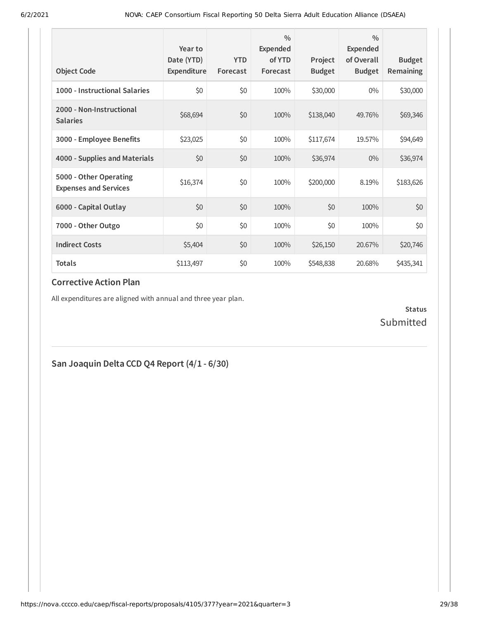| <b>Object Code</b>                                     | Year to<br>Date (YTD)<br>Expenditure | <b>YTD</b><br>Forecast | $\frac{0}{0}$<br><b>Expended</b><br>of YTD<br>Forecast | Project<br><b>Budget</b> | $\frac{0}{0}$<br><b>Expended</b><br>of Overall<br><b>Budget</b> | <b>Budget</b><br><b>Remaining</b> |
|--------------------------------------------------------|--------------------------------------|------------------------|--------------------------------------------------------|--------------------------|-----------------------------------------------------------------|-----------------------------------|
| 1000 - Instructional Salaries                          | \$0                                  | \$0                    | 100%                                                   | \$30,000                 | $0\%$                                                           | \$30,000                          |
| 2000 - Non-Instructional<br><b>Salaries</b>            | \$68,694                             | \$0                    | 100%                                                   | \$138,040                | 49.76%                                                          | \$69,346                          |
| 3000 - Employee Benefits                               | \$23,025                             | \$0                    | 100%                                                   | \$117,674                | 19.57%                                                          | \$94,649                          |
| 4000 - Supplies and Materials                          | \$0                                  | \$0                    | 100%                                                   | \$36,974                 | $0\%$                                                           | \$36,974                          |
| 5000 - Other Operating<br><b>Expenses and Services</b> | \$16,374                             | \$0                    | 100%                                                   | \$200,000                | 8.19%                                                           | \$183,626                         |
| 6000 - Capital Outlay                                  | \$0                                  | \$0                    | 100%                                                   | \$0                      | 100%                                                            | \$0                               |
| 7000 - Other Outgo                                     | \$0                                  | \$0                    | 100%                                                   | \$0                      | 100%                                                            | \$0                               |
| <b>Indirect Costs</b>                                  | \$5,404                              | \$0                    | 100%                                                   | \$26,150                 | 20.67%                                                          | \$20,746                          |
| <b>Totals</b>                                          | \$113,497                            | \$0                    | 100%                                                   | \$548,838                | 20.68%                                                          | \$435,341                         |

All expenditures are aligned with annual and three year plan.

**Status** Submitted

## **San Joaquin Delta CCD Q4 Report (4/1 - 6/30)**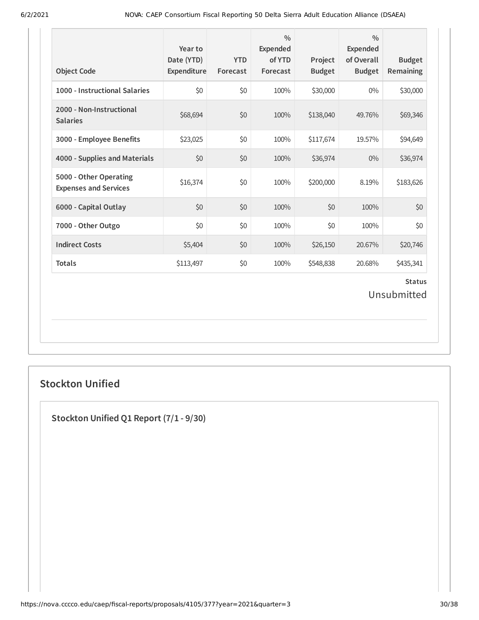| <b>Object Code</b>                                     | Year to<br>Date (YTD)<br>Expenditure | <b>YTD</b><br>Forecast | $\frac{0}{0}$<br>Expended<br>of YTD<br>Forecast | Project<br><b>Budget</b> | $\frac{0}{0}$<br><b>Expended</b><br>of Overall<br><b>Budget</b> | <b>Budget</b><br><b>Remaining</b> |
|--------------------------------------------------------|--------------------------------------|------------------------|-------------------------------------------------|--------------------------|-----------------------------------------------------------------|-----------------------------------|
| 1000 - Instructional Salaries                          | \$0                                  | \$0                    | 100%                                            | \$30,000                 | 0%                                                              | \$30,000                          |
| 2000 - Non-Instructional<br><b>Salaries</b>            | \$68,694                             | \$0                    | 100%                                            | \$138,040                | 49.76%                                                          | \$69,346                          |
| 3000 - Employee Benefits                               | \$23,025                             | \$0                    | 100%                                            | \$117,674                | 19.57%                                                          | \$94,649                          |
| 4000 - Supplies and Materials                          | \$0                                  | \$0                    | 100%                                            | \$36,974                 | 0%                                                              | \$36,974                          |
| 5000 - Other Operating<br><b>Expenses and Services</b> | \$16,374                             | \$0                    | 100%                                            | \$200,000                | 8.19%                                                           | \$183,626                         |
| 6000 - Capital Outlay                                  | \$0                                  | \$0                    | 100%                                            | \$0                      | 100%                                                            | \$0                               |
| 7000 - Other Outgo                                     | \$0                                  | \$0                    | 100%                                            | \$0                      | 100%                                                            | \$0                               |
| <b>Indirect Costs</b>                                  | \$5,404                              | \$0                    | 100%                                            | \$26,150                 | 20.67%                                                          | \$20,746                          |
| <b>Totals</b>                                          | \$113,497                            | \$0                    | 100%                                            | \$548,838                | 20.68%                                                          | \$435,341                         |
|                                                        |                                      |                        |                                                 |                          |                                                                 | <b>Status</b><br>Unsubmitted      |

## **Stockton Unified**

**Stockton Unified Q1 Report (7/1 - 9/30)**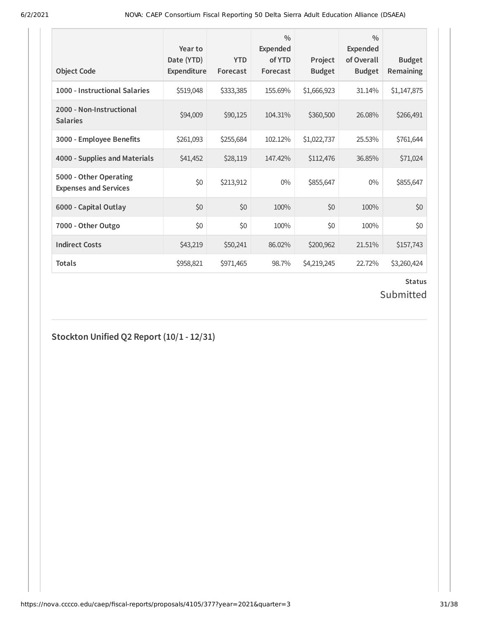| <b>Object Code</b>                                     | Year to<br>Date (YTD)<br>Expenditure | <b>YTD</b><br>Forecast | $\frac{0}{0}$<br><b>Expended</b><br>of YTD<br>Forecast | Project<br><b>Budget</b> | $\frac{0}{0}$<br>Expended<br>of Overall<br><b>Budget</b> | <b>Budget</b><br><b>Remaining</b> |
|--------------------------------------------------------|--------------------------------------|------------------------|--------------------------------------------------------|--------------------------|----------------------------------------------------------|-----------------------------------|
| 1000 - Instructional Salaries                          | \$519,048                            | \$333,385              | 155.69%                                                | \$1,666,923              | 31.14%                                                   | \$1,147,875                       |
| 2000 - Non-Instructional<br><b>Salaries</b>            | \$94,009                             | \$90,125               | 104.31%                                                | \$360,500                | 26.08%                                                   | \$266,491                         |
| 3000 - Employee Benefits                               | \$261,093                            | \$255,684              | 102.12%                                                | \$1,022,737              | 25.53%                                                   | \$761,644                         |
| 4000 - Supplies and Materials                          | \$41,452                             | \$28,119               | 147.42%                                                | \$112,476                | 36.85%                                                   | \$71,024                          |
| 5000 - Other Operating<br><b>Expenses and Services</b> | \$0                                  | \$213,912              | $0\%$                                                  | \$855,647                | $0\%$                                                    | \$855,647                         |
| 6000 - Capital Outlay                                  | \$0                                  | \$0                    | 100%                                                   | \$0                      | 100%                                                     | \$0                               |
| 7000 - Other Outgo                                     | \$0                                  | \$0                    | 100%                                                   | \$0                      | 100%                                                     | \$0                               |
| <b>Indirect Costs</b>                                  | \$43,219                             | \$50,241               | 86.02%                                                 | \$200,962                | 21.51%                                                   | \$157,743                         |
| <b>Totals</b>                                          | \$958,821                            | \$971,465              | 98.7%                                                  | \$4,219,245              | 22.72%                                                   | \$3,260,424                       |

# **Status**

# Submitted

**Stockton Unified Q2 Report (10/1 - 12/31)**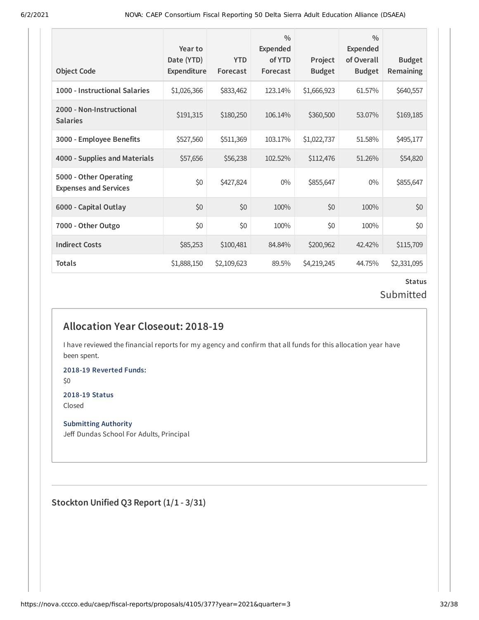| <b>Object Code</b>                                     | Year to<br>Date (YTD)<br><b>Expenditure</b> | <b>YTD</b><br>Forecast | $\frac{0}{0}$<br>Expended<br>of YTD<br>Forecast | Project<br><b>Budget</b> | $\frac{0}{0}$<br>Expended<br>of Overall<br><b>Budget</b> | <b>Budget</b><br>Remaining |
|--------------------------------------------------------|---------------------------------------------|------------------------|-------------------------------------------------|--------------------------|----------------------------------------------------------|----------------------------|
| 1000 - Instructional Salaries                          | \$1,026,366                                 | \$833,462              | 123.14%                                         | \$1,666,923              | 61.57%                                                   | \$640,557                  |
| 2000 - Non-Instructional<br><b>Salaries</b>            | \$191,315                                   | \$180,250              | 106.14%                                         | \$360,500                | 53.07%                                                   | \$169,185                  |
| 3000 - Employee Benefits                               | \$527,560                                   | \$511,369              | 103.17%                                         | \$1,022,737              | 51.58%                                                   | \$495,177                  |
| 4000 - Supplies and Materials                          | \$57,656                                    | \$56,238               | 102.52%                                         | \$112,476                | 51.26%                                                   | \$54,820                   |
| 5000 - Other Operating<br><b>Expenses and Services</b> | \$0                                         | \$427,824              | $0\%$                                           | \$855,647                | $0\%$                                                    | \$855,647                  |
| 6000 - Capital Outlay                                  | \$0                                         | \$0                    | 100%                                            | \$0                      | 100%                                                     | \$0                        |
| 7000 - Other Outgo                                     | \$0                                         | \$0                    | 100%                                            | \$0                      | 100%                                                     | \$0                        |
| <b>Indirect Costs</b>                                  | \$85,253                                    | \$100,481              | 84.84%                                          | \$200,962                | 42.42%                                                   | \$115,709                  |
| Totals                                                 | \$1,888,150                                 | \$2,109,623            | 89.5%                                           | \$4,219,245              | 44.75%                                                   | \$2,331,095                |

#### **Status** Submitted

## **Allocation Year Closeout: 2018-19**

I have reviewed the financial reports for my agency and confirm that all funds for this allocation year have been spent.

**2018-19 Reverted Funds:**

\$0

# **2018-19 Status**

Closed

#### **Submitting Authority**

Jeff Dundas School For Adults, Principal

**Stockton Unified Q3 Report (1/1 - 3/31)**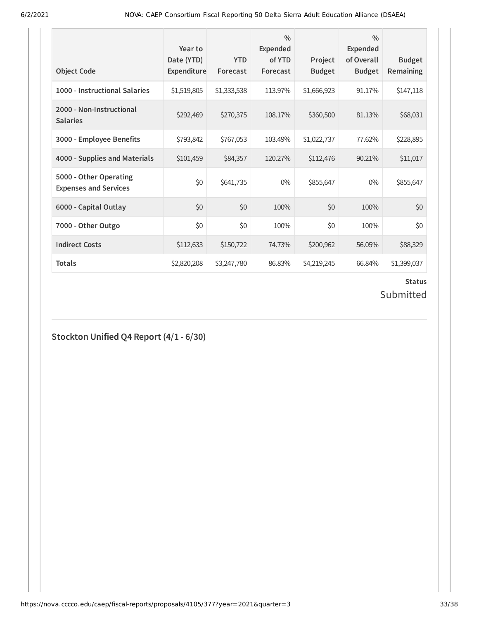| <b>Object Code</b>                                     | Year to<br>Date (YTD)<br>Expenditure | <b>YTD</b><br>Forecast | $\frac{0}{0}$<br><b>Expended</b><br>of YTD<br>Forecast | Project<br><b>Budget</b> | $\frac{0}{0}$<br>Expended<br>of Overall<br><b>Budget</b> | <b>Budget</b><br><b>Remaining</b> |
|--------------------------------------------------------|--------------------------------------|------------------------|--------------------------------------------------------|--------------------------|----------------------------------------------------------|-----------------------------------|
| 1000 - Instructional Salaries                          | \$1,519,805                          | \$1,333,538            | 113.97%                                                | \$1,666,923              | 91.17%                                                   | \$147,118                         |
| 2000 - Non-Instructional<br><b>Salaries</b>            | \$292,469                            | \$270,375              | 108.17%                                                | \$360,500                | 81.13%                                                   | \$68,031                          |
| 3000 - Employee Benefits                               | \$793,842                            | \$767,053              | 103.49%                                                | \$1,022,737              | 77.62%                                                   | \$228,895                         |
| 4000 - Supplies and Materials                          | \$101,459                            | \$84,357               | 120.27%                                                | \$112,476                | 90.21%                                                   | \$11,017                          |
| 5000 - Other Operating<br><b>Expenses and Services</b> | \$0                                  | \$641,735              | $0\%$                                                  | \$855,647                | $0\%$                                                    | \$855,647                         |
| 6000 - Capital Outlay                                  | \$0                                  | \$0                    | 100%                                                   | \$0                      | 100%                                                     | \$0                               |
| 7000 - Other Outgo                                     | \$0                                  | \$0                    | 100%                                                   | \$0                      | 100%                                                     | \$0                               |
| <b>Indirect Costs</b>                                  | \$112,633                            | \$150,722              | 74.73%                                                 | \$200,962                | 56.05%                                                   | \$88,329                          |
| <b>Totals</b>                                          | \$2,820,208                          | \$3,247,780            | 86.83%                                                 | \$4,219,245              | 66.84%                                                   | \$1,399,037                       |

# **Status**

# Submitted

## **Stockton Unified Q4 Report (4/1 - 6/30)**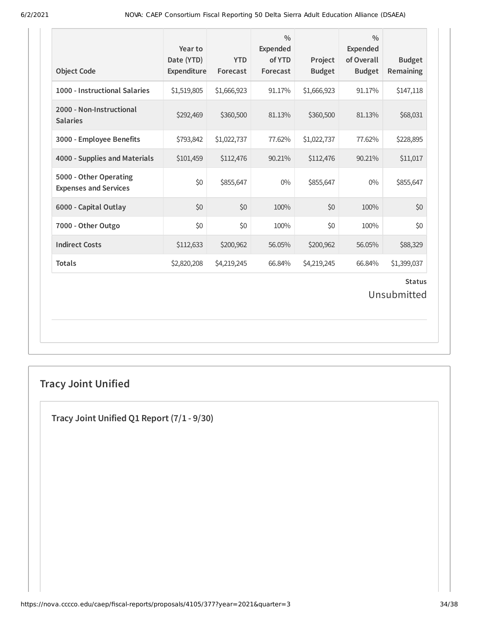| <b>Object Code</b>                                     | Year to<br>Date (YTD)<br>Expenditure | <b>YTD</b><br>Forecast | $\frac{0}{0}$<br>Expended<br>of YTD<br>Forecast | Project<br><b>Budget</b> | $\frac{0}{0}$<br><b>Expended</b><br>of Overall<br><b>Budget</b> | <b>Budget</b><br>Remaining |  |
|--------------------------------------------------------|--------------------------------------|------------------------|-------------------------------------------------|--------------------------|-----------------------------------------------------------------|----------------------------|--|
| 1000 - Instructional Salaries                          | \$1,519,805                          | \$1,666,923            | 91.17%                                          | \$1,666,923              | 91.17%                                                          | \$147,118                  |  |
| 2000 - Non-Instructional<br><b>Salaries</b>            | \$292,469                            | \$360,500              | 81.13%                                          | \$360,500                | 81.13%                                                          | \$68,031                   |  |
| 3000 - Employee Benefits                               | \$793,842                            | \$1,022,737            | 77.62%                                          | \$1,022,737              | 77.62%                                                          | \$228,895                  |  |
| 4000 - Supplies and Materials                          | \$101,459                            | \$112,476              | 90.21%                                          | \$112,476                | 90.21%                                                          | \$11,017                   |  |
| 5000 - Other Operating<br><b>Expenses and Services</b> | \$0                                  | \$855,647              | $0\%$                                           | \$855,647                | 0%                                                              | \$855,647                  |  |
| 6000 - Capital Outlay                                  | \$0                                  | \$0                    | 100%                                            | \$0                      | 100%                                                            | \$0                        |  |
| 7000 - Other Outgo                                     | \$0                                  | \$0                    | 100%                                            | \$0                      | 100%                                                            | \$0                        |  |
| <b>Indirect Costs</b>                                  | \$112,633                            | \$200,962              | 56.05%                                          | \$200,962                | 56.05%                                                          | \$88,329                   |  |
| <b>Totals</b>                                          | \$2,820,208                          | \$4,219,245            | 66.84%                                          | \$4,219,245              | 66.84%                                                          | \$1,399,037                |  |
| <b>Status</b><br>Unsubmitted                           |                                      |                        |                                                 |                          |                                                                 |                            |  |

# **Tracy Joint Unified**

**Tracy Joint Unified Q1 Report (7/1 - 9/30)**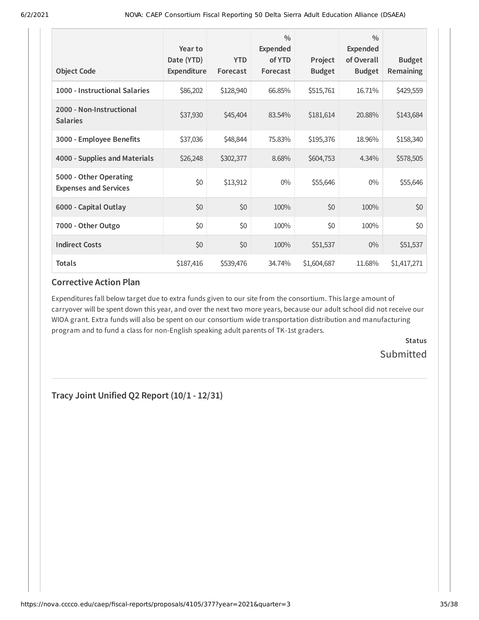| <b>Object Code</b>                                     | Year to<br>Date (YTD)<br>Expenditure | <b>YTD</b><br>Forecast | $\frac{0}{0}$<br><b>Expended</b><br>of YTD<br>Forecast | Project<br><b>Budget</b> | $\frac{0}{0}$<br><b>Expended</b><br>of Overall<br><b>Budget</b> | <b>Budget</b><br><b>Remaining</b> |
|--------------------------------------------------------|--------------------------------------|------------------------|--------------------------------------------------------|--------------------------|-----------------------------------------------------------------|-----------------------------------|
| 1000 - Instructional Salaries                          | \$86,202                             | \$128,940              | 66.85%                                                 | \$515,761                | 16.71%                                                          | \$429,559                         |
| 2000 - Non-Instructional<br><b>Salaries</b>            | \$37,930                             | \$45,404               | 83.54%                                                 | \$181,614                | 20.88%                                                          | \$143,684                         |
| 3000 - Employee Benefits                               | \$37,036                             | \$48,844               | 75.83%                                                 | \$195,376                | 18.96%                                                          | \$158,340                         |
| 4000 - Supplies and Materials                          | \$26,248                             | \$302,377              | 8.68%                                                  | \$604,753                | 4.34%                                                           | \$578,505                         |
| 5000 - Other Operating<br><b>Expenses and Services</b> | \$0                                  | \$13,912               | $0\%$                                                  | \$55,646                 | $0\%$                                                           | \$55,646                          |
| 6000 - Capital Outlay                                  | \$0                                  | \$0                    | 100%                                                   | \$0                      | 100%                                                            | \$0                               |
| 7000 - Other Outgo                                     | \$0                                  | \$0                    | 100%                                                   | \$0                      | 100%                                                            | \$0                               |
| <b>Indirect Costs</b>                                  | \$0                                  | \$0                    | 100%                                                   | \$51,537                 | $0\%$                                                           | \$51,537                          |
| <b>Totals</b>                                          | \$187,416                            | \$539,476              | 34.74%                                                 | \$1,604,687              | 11.68%                                                          | \$1,417,271                       |

Expenditures fall below target due to extra funds given to our site from the consortium. This large amount of carryover will be spent down this year, and over the next two more years, because our adult school did not receive our WIOA grant. Extra funds will also be spent on our consortium wide transportation distribution and manufacturing program and to fund a class for non-English speaking adult parents of TK-1st graders.

> **Status Submitted**

**Tracy Joint Unified Q2 Report (10/1 - 12/31)**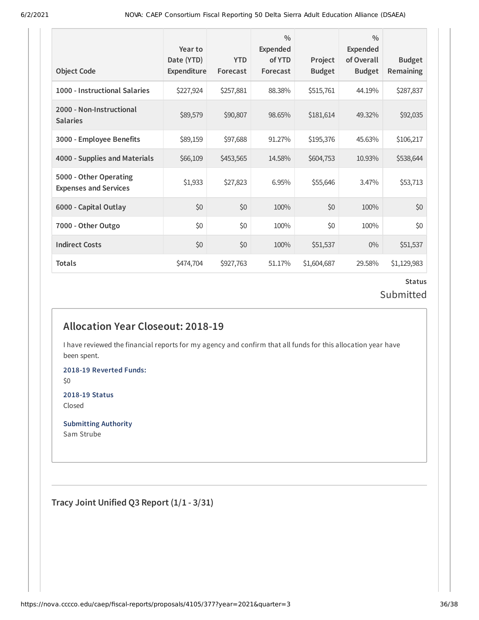| <b>Object Code</b>                                     | Year to<br>Date (YTD)<br><b>Expenditure</b> | <b>YTD</b><br>Forecast | $\frac{0}{0}$<br>Expended<br>of YTD<br>Forecast | Project<br><b>Budget</b> | $\frac{0}{0}$<br>Expended<br>of Overall<br><b>Budget</b> | <b>Budget</b><br>Remaining |
|--------------------------------------------------------|---------------------------------------------|------------------------|-------------------------------------------------|--------------------------|----------------------------------------------------------|----------------------------|
| 1000 - Instructional Salaries                          | \$227,924                                   | \$257,881              | 88.38%                                          | \$515,761                | 44.19%                                                   | \$287,837                  |
| 2000 - Non-Instructional<br><b>Salaries</b>            | \$89,579                                    | \$90,807               | 98.65%                                          | \$181,614                | 49.32%                                                   | \$92,035                   |
| 3000 - Employee Benefits                               | \$89,159                                    | \$97,688               | 91.27%                                          | \$195,376                | 45.63%                                                   | \$106,217                  |
| 4000 - Supplies and Materials                          | \$66,109                                    | \$453,565              | 14.58%                                          | \$604,753                | 10.93%                                                   | \$538,644                  |
| 5000 - Other Operating<br><b>Expenses and Services</b> | \$1,933                                     | \$27,823               | 6.95%                                           | \$55,646                 | 3.47%                                                    | \$53,713                   |
| 6000 - Capital Outlay                                  | \$0                                         | \$0                    | 100%                                            | \$0                      | 100%                                                     | \$0                        |
| 7000 - Other Outgo                                     | \$0                                         | \$0                    | 100%                                            | \$0                      | 100%                                                     | \$0                        |
| <b>Indirect Costs</b>                                  | \$0                                         | \$0                    | 100%                                            | \$51,537                 | $0\%$                                                    | \$51,537                   |
| Totals                                                 | \$474,704                                   | \$927,763              | 51.17%                                          | \$1,604,687              | 29.58%                                                   | \$1,129,983                |

## **Status** Submitted

## **Allocation Year Closeout: 2018-19**

I have reviewed the financial reports for my agency and confirm that all funds for this allocation year have been spent.

**2018-19 Reverted Funds:** \$0

**2018-19 Status** Closed

**Submitting Authority** Sam Strube

**Tracy Joint Unified Q3 Report (1/1 - 3/31)**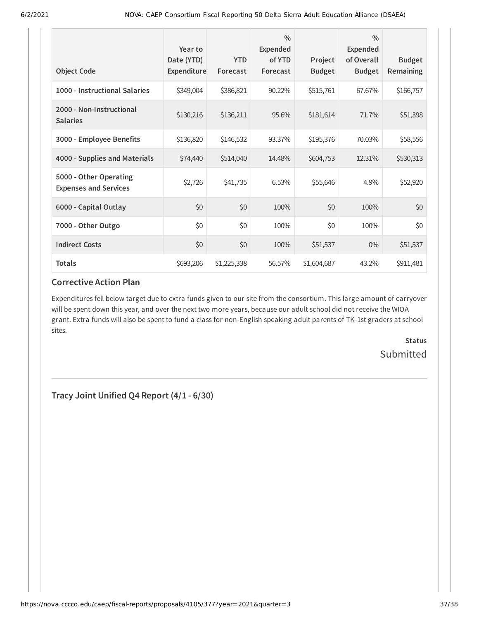| <b>Object Code</b>                                     | Year to<br>Date (YTD)<br>Expenditure | <b>YTD</b><br>Forecast | $\frac{0}{0}$<br><b>Expended</b><br>of YTD<br>Forecast | Project<br><b>Budget</b> | $\frac{0}{0}$<br>Expended<br>of Overall<br><b>Budget</b> | <b>Budget</b><br><b>Remaining</b> |
|--------------------------------------------------------|--------------------------------------|------------------------|--------------------------------------------------------|--------------------------|----------------------------------------------------------|-----------------------------------|
| 1000 - Instructional Salaries                          | \$349,004                            | \$386,821              | 90.22%                                                 | \$515,761                | 67.67%                                                   | \$166,757                         |
| 2000 - Non-Instructional<br><b>Salaries</b>            | \$130,216                            | \$136,211              | 95.6%                                                  | \$181,614                | 71.7%                                                    | \$51,398                          |
| 3000 - Employee Benefits                               | \$136,820                            | \$146,532              | 93.37%                                                 | \$195,376                | 70.03%                                                   | \$58,556                          |
| 4000 - Supplies and Materials                          | \$74,440                             | \$514,040              | 14.48%                                                 | \$604,753                | 12.31%                                                   | \$530,313                         |
| 5000 - Other Operating<br><b>Expenses and Services</b> | \$2,726                              | \$41,735               | 6.53%                                                  | \$55,646                 | 4.9%                                                     | \$52,920                          |
| 6000 - Capital Outlay                                  | \$0                                  | \$0                    | 100%                                                   | \$0                      | 100%                                                     | \$0                               |
| 7000 - Other Outgo                                     | \$0                                  | \$0                    | 100%                                                   | \$0                      | 100%                                                     | \$0                               |
| <b>Indirect Costs</b>                                  | \$0                                  | \$0                    | 100%                                                   | \$51,537                 | $0\%$                                                    | \$51,537                          |
| <b>Totals</b>                                          | \$693,206                            | \$1,225,338            | 56.57%                                                 | \$1,604,687              | 43.2%                                                    | \$911,481                         |

Expenditures fell below target due to extra funds given to our site from the consortium. This large amount of carryover will be spent down this year, and over the next two more years, because our adult school did not receive the WIOA grant. Extra funds will also be spent to fund a class for non-English speaking adult parents of TK-1st graders at school sites.

> **Status Submitted**

**Tracy Joint Unified Q4 Report (4/1 - 6/30)**